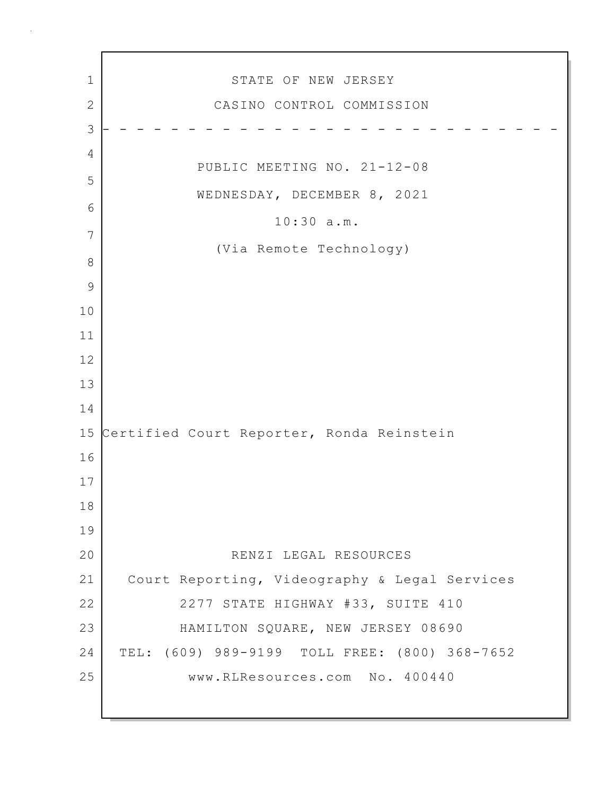1 STATE OF NEW JERSEY 2 CASINO CONTROL COMMISSION 3 - - - - - - - - - - - - - - - - - - - - - - - - - - - 4 PUBLIC MEETING NO. 21-12-08 5 WEDNESDAY, DECEMBER 8, 2021 6 10:30 a.m. 7 (Via Remote Technology) 8 9 10 11 12 13 14 15 Certified Court Reporter, Ronda Reinstein 16 17 18 19 20 RENZI LEGAL RESOURCES 21 Court Reporting, Videography & Legal Services 22 2277 STATE HIGHWAY #33, SUITE 410 23 HAMILTON SQUARE, NEW JERSEY 08690 24 TEL: (609) 989-9199 TOLL FREE: (800) 368-7652 25 www.RLResources.com No. 400440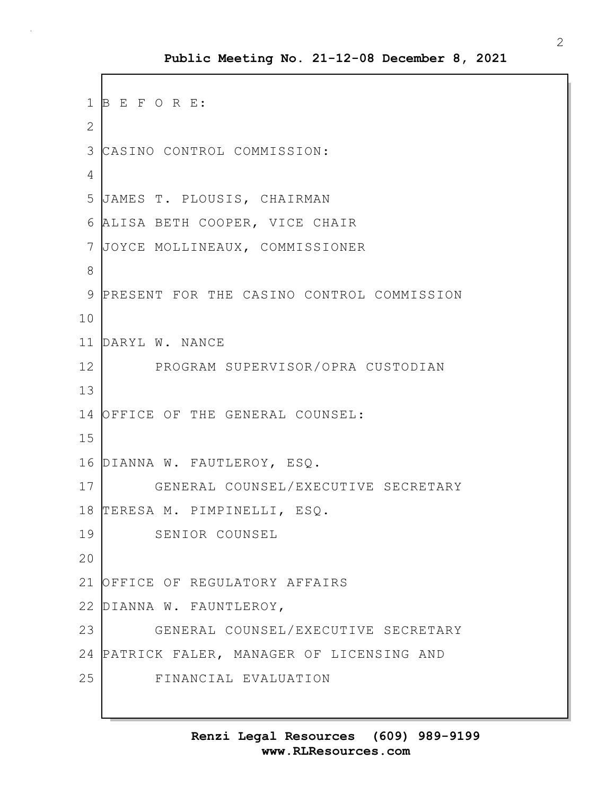```
1 B E F O R E:
2
3 CASINO CONTROL COMMISSION:
4
5 JAMES T. PLOUSIS, CHAIRMAN 
 6 ALISA BETH COOPER, VICE CHAIR 
7 JOYCE MOLLINEAUX, COMMISSIONER
8
9 PRESENT FOR THE CASINO CONTROL COMMISSION
10
11 DARYL W. NANCE
12 PROGRAM SUPERVISOR/OPRA CUSTODIAN
13
14 OFFICE OF THE GENERAL COUNSEL:
15
16 DIANNA W. FAUTLEROY, ESQ.
17 GENERAL COUNSEL/EXECUTIVE SECRETARY
18 TERESA M. PIMPINELLI, ESQ.
19 SENIOR COUNSEL
20
21 OFFICE OF REGULATORY AFFAIRS
22 DIANNA W. FAUNTLEROY, 
23 GENERAL COUNSEL/EXECUTIVE SECRETARY
24 PATRICK FALER, MANAGER OF LICENSING AND
25 FINANCIAL EVALUATION
```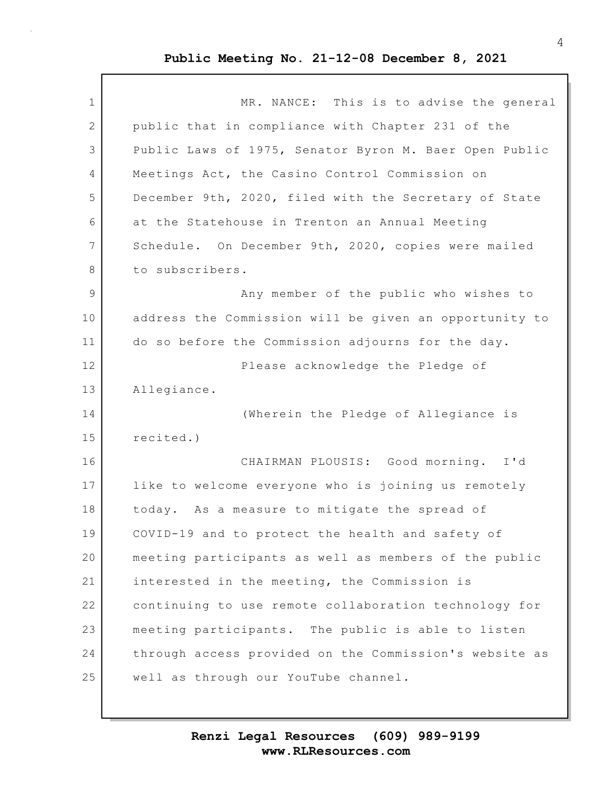| $\mathbf 1$    | MR. NANCE: This is to advise the general               |
|----------------|--------------------------------------------------------|
| 2              | public that in compliance with Chapter 231 of the      |
| 3              | Public Laws of 1975, Senator Byron M. Baer Open Public |
| 4              | Meetings Act, the Casino Control Commission on         |
| 5              | December 9th, 2020, filed with the Secretary of State  |
| 6              | at the Statehouse in Trenton an Annual Meeting         |
| $\overline{7}$ | Schedule. On December 9th, 2020, copies were mailed    |
| 8              | to subscribers.                                        |
| 9              | Any member of the public who wishes to                 |
| 10             | address the Commission will be given an opportunity to |
| 11             | do so before the Commission adjourns for the day.      |
| 12             | Please acknowledge the Pledge of                       |
| 13             | Allegiance.                                            |
| 14             | (Wherein the Pledge of Allegiance is                   |
| 15             | recited.)                                              |
| 16             | CHAIRMAN PLOUSIS: Good morning. I'd                    |
| 17             | like to welcome everyone who is joining us remotely    |
| 18             | today. As a measure to mitigate the spread of          |
| 19             | COVID-19 and to protect the health and safety of       |
| 20             | meeting participants as well as members of the public  |
| 21             | interested in the meeting, the Commission is           |
| 22             | continuing to use remote collaboration technology for  |
| 23             | meeting participants. The public is able to listen     |
| 24             | through access provided on the Commission's website as |
| 25             | well as through our YouTube channel.                   |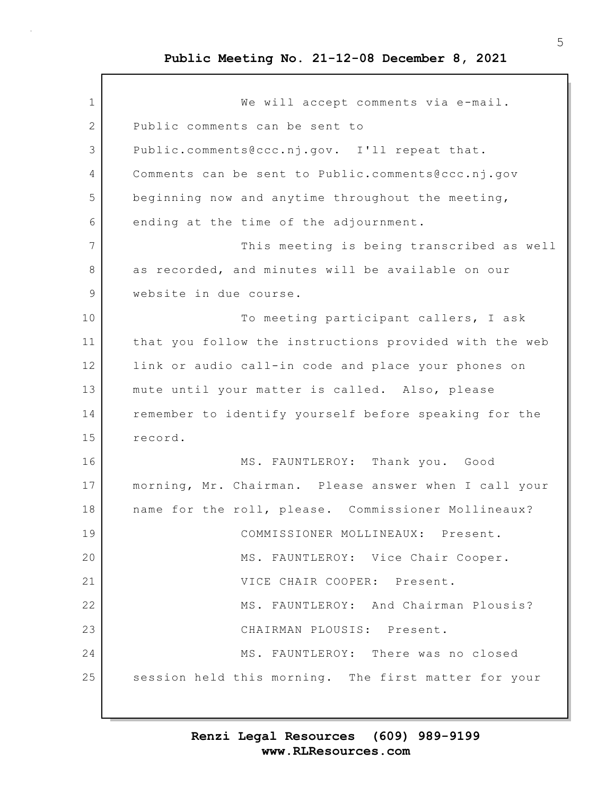1 We will accept comments via e-mail. 2 Public comments can be sent to 3 Public.comments@ccc.nj.gov. I'll repeat that. 4 Comments can be sent to Public.comments@ccc.nj.gov 5 beginning now and anytime throughout the meeting, 6 ending at the time of the adjournment. 7 This meeting is being transcribed as well 8 as recorded, and minutes will be available on our 9 website in due course. 10 To meeting participant callers, I ask 11 that you follow the instructions provided with the web 12 link or audio call-in code and place your phones on 13 mute until your matter is called. Also, please 14 remember to identify yourself before speaking for the 15 record. 16 MS. FAUNTLEROY: Thank you. Good 17 morning, Mr. Chairman. Please answer when I call your 18 | name for the roll, please. Commissioner Mollineaux? 19 COMMISSIONER MOLLINEAUX: Present. 20 MS. FAUNTLEROY: Vice Chair Cooper. 21 **VICE CHAIR COOPER:** Present. 22 MS. FAUNTLEROY: And Chairman Plousis? 23 CHAIRMAN PLOUSIS: Present. 24 MS. FAUNTLEROY: There was no closed 25 session held this morning. The first matter for your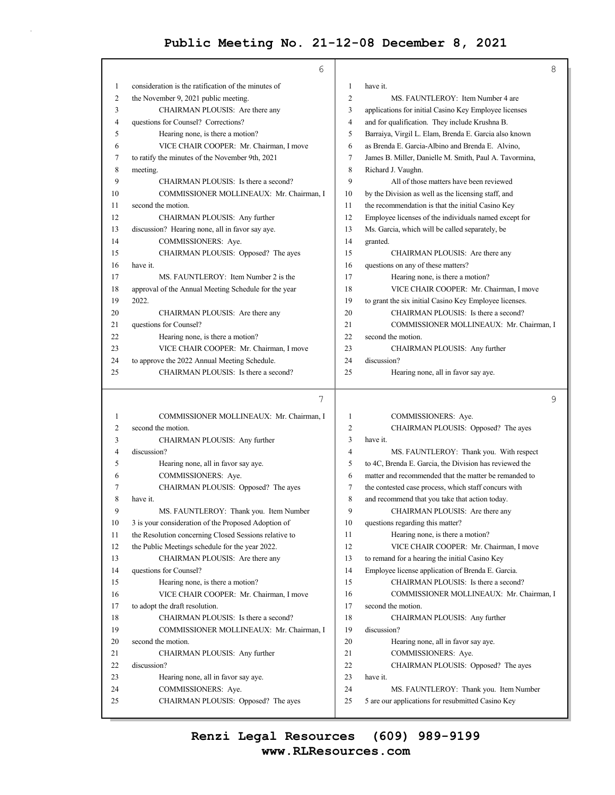$\bar{z}$ 

|              | 6                                                     |                | $\,8\,$                                                |
|--------------|-------------------------------------------------------|----------------|--------------------------------------------------------|
| 1            | consideration is the ratification of the minutes of   | $\mathbf{1}$   | have it.                                               |
| 2            | the November 9, 2021 public meeting.                  | $\overline{c}$ | MS. FAUNTLEROY: Item Number 4 are                      |
| 3            | CHAIRMAN PLOUSIS: Are there any                       | 3              | applications for initial Casino Key Employee licenses  |
| 4            | questions for Counsel? Corrections?                   | $\overline{4}$ | and for qualification. They include Krushna B.         |
| 5            | Hearing none, is there a motion?                      | 5              | Barraiya, Virgil L. Elam, Brenda E. Garcia also known  |
| 6            | VICE CHAIR COOPER: Mr. Chairman, I move               | 6              | as Brenda E. Garcia-Albino and Brenda E. Alvino,       |
| 7            | to ratify the minutes of the November 9th, 2021       | 7              | James B. Miller, Danielle M. Smith, Paul A. Tavormina, |
| 8            | meeting.                                              | 8              | Richard J. Vaughn.                                     |
| 9            | CHAIRMAN PLOUSIS: Is there a second?                  | 9              | All of those matters have been reviewed                |
| 10           | COMMISSIONER MOLLINEAUX: Mr. Chairman, I              | 10             | by the Division as well as the licensing staff, and    |
| 11           | second the motion.                                    | 11             | the recommendation is that the initial Casino Key      |
| 12           | CHAIRMAN PLOUSIS: Any further                         | 12             | Employee licenses of the individuals named except for  |
| 13           | discussion? Hearing none, all in favor say aye.       | 13             | Ms. Garcia, which will be called separately, be        |
| 14           | COMMISSIONERS: Aye.                                   | 14             | granted.                                               |
| 15           | CHAIRMAN PLOUSIS: Opposed? The ayes                   | 15             | CHAIRMAN PLOUSIS: Are there any                        |
| 16           | have it.                                              | 16             | questions on any of these matters?                     |
| 17           | MS. FAUNTLEROY: Item Number 2 is the                  | 17             | Hearing none, is there a motion?                       |
| 18           | approval of the Annual Meeting Schedule for the year  | 18             | VICE CHAIR COOPER: Mr. Chairman, I move                |
| 19           | 2022.                                                 | 19             | to grant the six initial Casino Key Employee licenses. |
| 20           | CHAIRMAN PLOUSIS: Are there any                       | 20             | CHAIRMAN PLOUSIS: Is there a second?                   |
| 21           | questions for Counsel?                                | 21             | COMMISSIONER MOLLINEAUX: Mr. Chairman, I               |
| 22           | Hearing none, is there a motion?                      | 22             | second the motion.                                     |
| 23           | VICE CHAIR COOPER: Mr. Chairman, I move               | 23             | CHAIRMAN PLOUSIS: Any further                          |
| 24           | to approve the 2022 Annual Meeting Schedule.          | 24             | discussion?                                            |
| 25           | CHAIRMAN PLOUSIS: Is there a second?                  | 25             | Hearing none, all in favor say aye.                    |
|              | 7                                                     |                | 9                                                      |
| $\mathbf{1}$ | COMMISSIONER MOLLINEAUX: Mr. Chairman, I              | $\mathbf{1}$   | COMMISSIONERS: Aye.                                    |
| 2            | second the motion.                                    | $\overline{c}$ | CHAIRMAN PLOUSIS: Opposed? The ayes                    |
| 3            | CHAIRMAN PLOUSIS: Any further                         | 3              | have it.                                               |
| 4            | discussion?                                           | $\overline{4}$ | MS. FAUNTLEROY: Thank you. With respect                |
| 5            | Hearing none, all in favor say aye.                   | 5              | to 4C, Brenda E. Garcia, the Division has reviewed the |
| 6            | COMMISSIONERS: Aye.                                   | 6              | matter and recommended that the matter be remanded to  |
| 7            | CHAIRMAN PLOUSIS: Opposed? The ayes                   | 7              | the contested case process, which staff concurs with   |
| 8            | have it.                                              | 8              | and recommend that you take that action today.         |
| 9            | MS. FAUNTLEROY: Thank you. Item Number                | 9              | CHAIRMAN PLOUSIS: Are there any                        |
| 10           | 3 is your consideration of the Proposed Adoption of   | 10             | questions regarding this matter?                       |
| 11           | the Resolution concerning Closed Sessions relative to | 11             | Hearing none, is there a motion?                       |

| 6  | COMMISSIONERS: Aye.                                   | 6  | matter and recommended that the matter be remanded to |
|----|-------------------------------------------------------|----|-------------------------------------------------------|
|    | CHAIRMAN PLOUSIS: Opposed? The ayes                   | 7  | the contested case process, which staff concurs with  |
| 8  | have it.                                              | 8  | and recommend that you take that action today.        |
| 9  | MS. FAUNTLEROY: Thank you. Item Number                | 9  | CHAIRMAN PLOUSIS: Are there any                       |
| 10 | 3 is your consideration of the Proposed Adoption of   | 10 | questions regarding this matter?                      |
| 11 | the Resolution concerning Closed Sessions relative to | 11 | Hearing none, is there a motion?                      |
| 12 | the Public Meetings schedule for the year 2022.       | 12 | VICE CHAIR COOPER: Mr. Chairman, I move               |
| 13 | CHAIRMAN PLOUSIS: Are there any                       | 13 | to remand for a hearing the initial Casino Key        |
| 14 | questions for Counsel?                                | 14 | Employee license application of Brenda E. Garcia.     |
| 15 | Hearing none, is there a motion?                      | 15 | CHAIRMAN PLOUSIS: Is there a second?                  |
| 16 | VICE CHAIR COOPER: Mr. Chairman, I move               | 16 | COMMISSIONER MOLLINEAUX: Mr. Chairman, I              |
| 17 | to adopt the draft resolution.                        | 17 | second the motion.                                    |
| 18 | CHAIRMAN PLOUSIS: Is there a second?                  | 18 | CHAIRMAN PLOUSIS: Any further                         |
| 19 | COMMISSIONER MOLLINEAUX: Mr. Chairman, I              | 19 | discussion?                                           |
| 20 | second the motion.                                    | 20 | Hearing none, all in favor say aye.                   |
| 21 | CHAIRMAN PLOUSIS: Any further                         | 21 | COMMISSIONERS: Aye.                                   |
| 22 | discussion?                                           | 22 | CHAIRMAN PLOUSIS: Opposed? The ayes                   |
| 23 | Hearing none, all in favor say aye.                   | 23 | have it.                                              |
| 24 | COMMISSIONERS: Aye.                                   | 24 | MS. FAUNTLEROY: Thank you. Item Number                |
| 25 | CHAIRMAN PLOUSIS: Opposed? The ayes                   | 25 | 5 are our applications for resubmitted Casino Key     |
|    |                                                       |    |                                                       |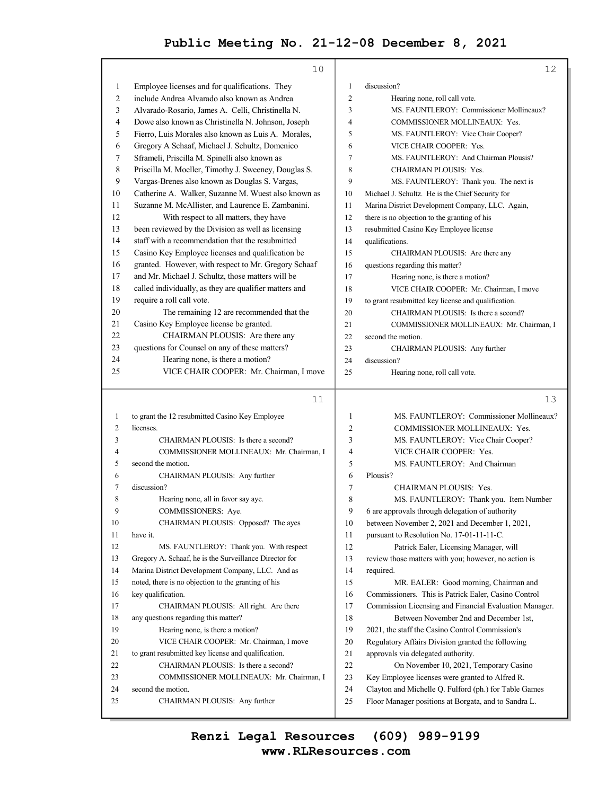|              | 10                                                                       |                | 12                                                                                                             |
|--------------|--------------------------------------------------------------------------|----------------|----------------------------------------------------------------------------------------------------------------|
| 1            | Employee licenses and for qualifications. They                           | 1              | discussion?                                                                                                    |
| 2            | include Andrea Alvarado also known as Andrea                             | $\overline{2}$ | Hearing none, roll call vote.                                                                                  |
| 3            | Alvarado-Rosario, James A. Celli, Christinella N.                        | 3              | MS. FAUNTLEROY: Commissioner Mollineaux?                                                                       |
| 4            | Dowe also known as Christinella N. Johnson, Joseph                       | 4              | COMMISSIONER MOLLINEAUX: Yes.                                                                                  |
| 5            | Fierro, Luis Morales also known as Luis A. Morales,                      | 5              | MS. FAUNTLEROY: Vice Chair Cooper?                                                                             |
| 6            | Gregory A Schaaf, Michael J. Schultz, Domenico                           | 6              | VICE CHAIR COOPER: Yes.                                                                                        |
| 7            | Sframeli, Priscilla M. Spinelli also known as                            | 7              | MS. FAUNTLEROY: And Chairman Plousis?                                                                          |
| 8            | Priscilla M. Moeller, Timothy J. Sweeney, Douglas S.                     | 8              | CHAIRMAN PLOUSIS: Yes.                                                                                         |
| 9            | Vargas-Brenes also known as Douglas S. Vargas,                           | 9              | MS. FAUNTLEROY: Thank you. The next is                                                                         |
| 10           | Catherine A. Walker, Suzanne M. Wuest also known as                      | 10             | Michael J. Schultz. He is the Chief Security for                                                               |
| 11           | Suzanne M. McAllister, and Laurence E. Zambanini.                        | 11             | Marina District Development Company, LLC. Again,                                                               |
| 12           | With respect to all matters, they have                                   | 12             | there is no objection to the granting of his                                                                   |
| 13           | been reviewed by the Division as well as licensing                       | 13             | resubmitted Casino Key Employee license                                                                        |
| 14           | staff with a recommendation that the resubmitted                         | 14             | qualifications.                                                                                                |
| 15           | Casino Key Employee licenses and qualification be                        | 15             | CHAIRMAN PLOUSIS: Are there any                                                                                |
| 16           | granted. However, with respect to Mr. Gregory Schaaf                     | 16             | questions regarding this matter?                                                                               |
| 17           | and Mr. Michael J. Schultz, those matters will be                        | 17             | Hearing none, is there a motion?                                                                               |
| 18           | called individually, as they are qualifier matters and                   | 18             | VICE CHAIR COOPER: Mr. Chairman, I move                                                                        |
| 19           | require a roll call vote.                                                | 19             | to grant resubmitted key license and qualification.                                                            |
| 20           | The remaining 12 are recommended that the                                | 20             | CHAIRMAN PLOUSIS: Is there a second?                                                                           |
| 21           | Casino Key Employee license be granted.                                  | 21             | COMMISSIONER MOLLINEAUX: Mr. Chairman, I                                                                       |
| 22           | CHAIRMAN PLOUSIS: Are there any                                          | 22             | second the motion.                                                                                             |
| 23           | questions for Counsel on any of these matters?                           | 23             | CHAIRMAN PLOUSIS: Any further                                                                                  |
| 24           | Hearing none, is there a motion?                                         | 24             | discussion?                                                                                                    |
| 25           | VICE CHAIR COOPER: Mr. Chairman, I move                                  | 25             | Hearing none, roll call vote.                                                                                  |
|              |                                                                          |                |                                                                                                                |
|              |                                                                          |                |                                                                                                                |
|              | 11                                                                       |                | 13                                                                                                             |
| $\mathbf{1}$ | to grant the 12 resubmitted Casino Key Employee                          | $\mathbf{1}$   | MS. FAUNTLEROY: Commissioner Mollineaux?                                                                       |
| 2            | licenses.                                                                | 2              | COMMISSIONER MOLLINEAUX: Yes.                                                                                  |
| 3            | CHAIRMAN PLOUSIS: Is there a second?                                     | 3              | MS. FAUNTLEROY: Vice Chair Cooper?                                                                             |
| 4            | COMMISSIONER MOLLINEAUX: Mr. Chairman, I                                 | 4              | VICE CHAIR COOPER: Yes.                                                                                        |
| 5            | second the motion.                                                       | 5              | MS. FAUNTLEROY: And Chairman                                                                                   |
| 6            | CHAIRMAN PLOUSIS: Any further                                            | 6              | Plousis?                                                                                                       |
| 7            | discussion?                                                              | $\tau$         | CHAIRMAN PLOUSIS: Yes.                                                                                         |
| 8<br>9       | Hearing none, all in favor say aye.                                      | 8              | MS. FAUNTLEROY: Thank you. Item Number                                                                         |
|              | COMMISSIONERS: Aye.                                                      | 9              | 6 are approvals through delegation of authority                                                                |
| 10           | CHAIRMAN PLOUSIS: Opposed? The ayes                                      | 10             | between November 2, 2021 and December 1, 2021,                                                                 |
| 11           | have it.                                                                 | 11             | pursuant to Resolution No. 17-01-11-11-C.                                                                      |
| 12           | MS. FAUNTLEROY: Thank you. With respect                                  | 12             | Patrick Ealer, Licensing Manager, will                                                                         |
| 13           | Gregory A. Schaaf, he is the Surveillance Director for                   | 13             | review those matters with you; however, no action is                                                           |
| 14           | Marina District Development Company, LLC. And as                         | 14             | required.                                                                                                      |
| 15<br>16     | noted, there is no objection to the granting of his                      | 15             | MR. EALER: Good morning, Chairman and                                                                          |
| 17           | key qualification.<br>CHAIRMAN PLOUSIS: All right. Are there             | 16<br>17       | Commissioners. This is Patrick Ealer, Casino Control<br>Commission Licensing and Financial Evaluation Manager. |
| 18           |                                                                          | 18             |                                                                                                                |
| 19           | any questions regarding this matter?<br>Hearing none, is there a motion? | 19             | Between November 2nd and December 1st,                                                                         |
| 20           | VICE CHAIR COOPER: Mr. Chairman, I move                                  | 20             | 2021, the staff the Casino Control Commission's                                                                |
| 21           | to grant resubmitted key license and qualification.                      | 21             | Regulatory Affairs Division granted the following<br>approvals via delegated authority.                        |
| 22           | CHAIRMAN PLOUSIS: Is there a second?                                     | 22             | On November 10, 2021, Temporary Casino                                                                         |
| 23           | COMMISSIONER MOLLINEAUX: Mr. Chairman, I                                 | 23             | Key Employee licenses were granted to Alfred R.                                                                |

#### 25 Floor Manager positions at Borgata, and to Sandra L.

# **www.RLResources.com Renzi Legal Resources (609) 989-9199**

25 CHAIRMAN PLOUSIS: Any further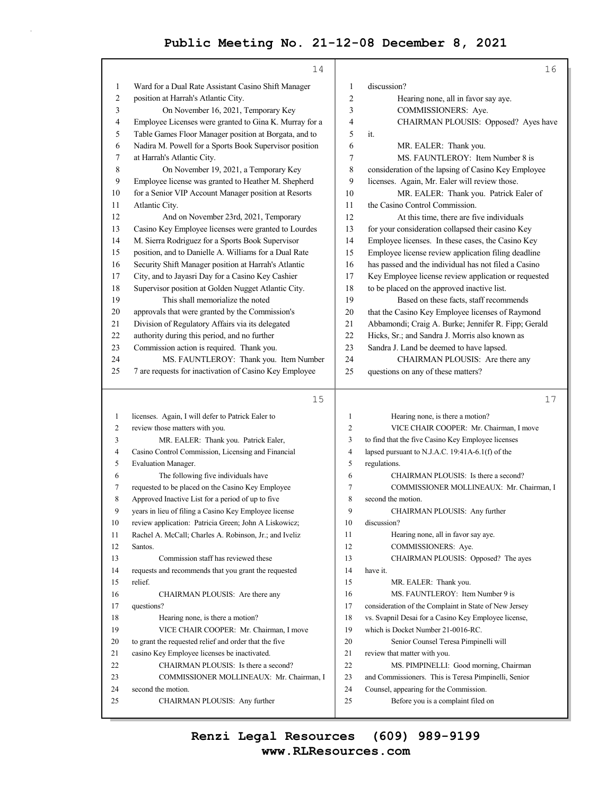|              | 14                                                                                            |                | 16                                                    |
|--------------|-----------------------------------------------------------------------------------------------|----------------|-------------------------------------------------------|
| $\mathbf{1}$ | Ward for a Dual Rate Assistant Casino Shift Manager                                           | $\mathbf{1}$   | discussion?                                           |
| 2            | position at Harrah's Atlantic City.                                                           | 2              | Hearing none, all in favor say aye.                   |
| 3            | On November 16, 2021, Temporary Key                                                           | 3              | COMMISSIONERS: Aye.                                   |
| 4            | Employee Licenses were granted to Gina K. Murray for a                                        | 4              | CHAIRMAN PLOUSIS: Opposed? Ayes have                  |
| 5            | Table Games Floor Manager position at Borgata, and to                                         | 5              | it.                                                   |
| 6            | Nadira M. Powell for a Sports Book Supervisor position                                        | 6              | MR. EALER: Thank you.                                 |
| 7            | at Harrah's Atlantic City.                                                                    | 7              | MS. FAUNTLEROY: Item Number 8 is                      |
| 8            | On November 19, 2021, a Temporary Key                                                         | 8              | consideration of the lapsing of Casino Key Employee   |
| 9            | Employee license was granted to Heather M. Shepherd                                           | 9              | licenses. Again, Mr. Ealer will review those.         |
| 10           | for a Senior VIP Account Manager position at Resorts                                          | 10             | MR. EALER: Thank you. Patrick Ealer of                |
| 11           | Atlantic City.                                                                                | 11             | the Casino Control Commission.                        |
| 12           |                                                                                               | 12             | At this time, there are five individuals              |
| 13           | And on November 23rd, 2021, Temporary<br>Casino Key Employee licenses were granted to Lourdes | 13             | for your consideration collapsed their casino Key     |
| 14           | M. Sierra Rodriguez for a Sports Book Supervisor                                              | 14             | Employee licenses. In these cases, the Casino Key     |
| 15           | position, and to Danielle A. Williams for a Dual Rate                                         | 15             | Employee license review application filing deadline   |
| 16           |                                                                                               | 16             | has passed and the individual has not filed a Casino  |
|              | Security Shift Manager position at Harrah's Atlantic                                          | 17             | Key Employee license review application or requested  |
| 17           | City, and to Jayasri Day for a Casino Key Cashier                                             | 18             |                                                       |
| 18           | Supervisor position at Golden Nugget Atlantic City.                                           |                | to be placed on the approved inactive list.           |
| 19           | This shall memorialize the noted                                                              | 19             | Based on these facts, staff recommends                |
| 20           | approvals that were granted by the Commission's                                               | 20             | that the Casino Key Employee licenses of Raymond      |
| 21           | Division of Regulatory Affairs via its delegated                                              | 21             | Abbamondi; Craig A. Burke; Jennifer R. Fipp; Gerald   |
| 22           | authority during this period, and no further                                                  | 22             | Hicks, Sr.; and Sandra J. Morris also known as        |
| 23           | Commission action is required. Thank you.                                                     | 23             | Sandra J. Land be deemed to have lapsed.              |
| 24           | MS. FAUNTLEROY: Thank you. Item Number                                                        | 24             | CHAIRMAN PLOUSIS: Are there any                       |
| 25           | 7 are requests for inactivation of Casino Key Employee                                        | 25             | questions on any of these matters?                    |
|              | 15                                                                                            |                | 17                                                    |
|              |                                                                                               |                |                                                       |
| $\mathbf{1}$ | licenses. Again, I will defer to Patrick Ealer to                                             | $\mathbf{1}$   | Hearing none, is there a motion?                      |
| 2            | review those matters with you.                                                                | 2              | VICE CHAIR COOPER: Mr. Chairman, I move               |
| 3            | MR. EALER: Thank you. Patrick Ealer,                                                          | 3              | to find that the five Casino Key Employee licenses    |
| 4            | Casino Control Commission, Licensing and Financial                                            | $\overline{4}$ | lapsed pursuant to N.J.A.C. 19:41A-6.1(f) of the      |
| 5            | Evaluation Manager.                                                                           | 5              | regulations.                                          |
| 6            | The following five individuals have                                                           | 6              | CHAIRMAN PLOUSIS: Is there a second?                  |
| 7            | requested to be placed on the Casino Key Employee                                             | 7              | COMMISSIONER MOLLINEAUX: Mr. Chairman, I              |
| 8            | Approved Inactive List for a period of up to five                                             | 8              | second the motion.                                    |
| 9            | years in lieu of filing a Casino Key Employee license                                         | 9              | CHAIRMAN PLOUSIS: Any further                         |
| 10           | review application: Patricia Green; John A Liskowicz;                                         | 10             | discussion?                                           |
| 11           | Rachel A. McCall; Charles A. Robinson, Jr.; and Iveliz                                        | 11             | Hearing none, all in favor say aye.                   |
| 12           | Santos.                                                                                       | 12             | COMMISSIONERS: Aye.                                   |
| 13           | Commission staff has reviewed these                                                           | 13             | CHAIRMAN PLOUSIS: Opposed? The ayes                   |
| 14           | requests and recommends that you grant the requested                                          | 14             | have it.                                              |
| 15           | relief.                                                                                       | 15             | MR. EALER: Thank you.                                 |
| 16           | CHAIRMAN PLOUSIS: Are there any                                                               | 16             | MS. FAUNTLEROY: Item Number 9 is                      |
| 17           | questions?                                                                                    | 17             | consideration of the Complaint in State of New Jersey |
| 18           | Hearing none, is there a motion?                                                              | 18             | vs. Svapnil Desai for a Casino Key Employee license,  |
| 19           | VICE CHAIR COOPER: Mr. Chairman, I move                                                       | 19             | which is Docket Number 21-0016-RC.                    |
| 20           | to grant the requested relief and order that the five                                         | 20             | Senior Counsel Teresa Pimpinelli will                 |
| 21           | casino Key Employee licenses be inactivated.                                                  | 21             | review that matter with you.                          |
| 22           | CHAIRMAN PLOUSIS: Is there a second?                                                          | 22             | MS. PIMPINELLI: Good morning, Chairman                |
| 23           |                                                                                               |                |                                                       |
|              | COMMISSIONER MOLLINEAUX: Mr. Chairman, I                                                      | 23             | and Commissioners. This is Teresa Pimpinelli, Senior  |
| 24           | second the motion.                                                                            | 24             | Counsel, appearing for the Commission.                |
| 25           | CHAIRMAN PLOUSIS: Any further                                                                 | 25             | Before you is a complaint filed on                    |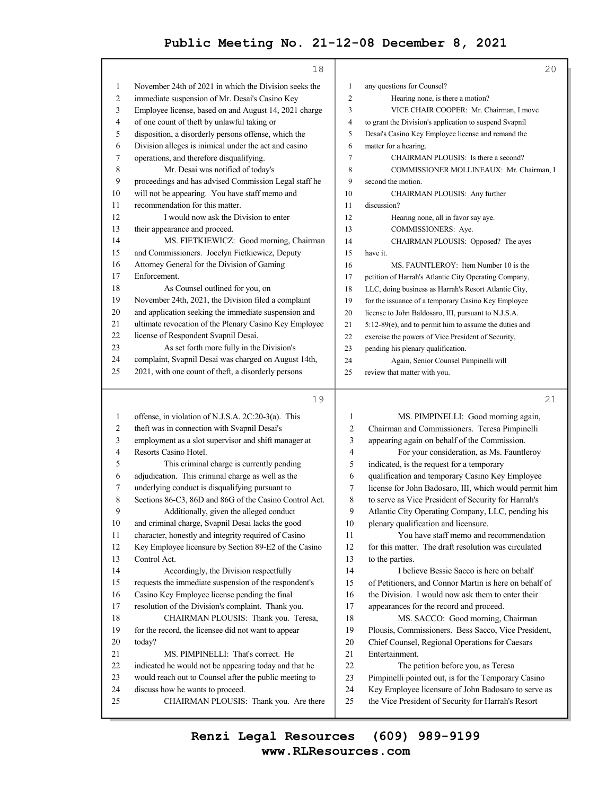|                | 18                                                                         |                | 20                                                                                                        |
|----------------|----------------------------------------------------------------------------|----------------|-----------------------------------------------------------------------------------------------------------|
| 1              | November 24th of 2021 in which the Division seeks the                      | $\mathbf{1}$   | any questions for Counsel?                                                                                |
| $\overline{c}$ | immediate suspension of Mr. Desai's Casino Key                             | $\overline{2}$ | Hearing none, is there a motion?                                                                          |
| 3              | Employee license, based on and August 14, 2021 charge                      | 3              | VICE CHAIR COOPER: Mr. Chairman, I move                                                                   |
| $\overline{4}$ | of one count of theft by unlawful taking or                                | 4              | to grant the Division's application to suspend Svapnil                                                    |
| 5              | disposition, a disorderly persons offense, which the                       | 5              | Desai's Casino Key Employee license and remand the                                                        |
| 6              | Division alleges is inimical under the act and casino                      | 6              | matter for a hearing.                                                                                     |
| 7              | operations, and therefore disqualifying.                                   | 7              | CHAIRMAN PLOUSIS: Is there a second?                                                                      |
| $\,8\,$        | Mr. Desai was notified of today's                                          | 8              | COMMISSIONER MOLLINEAUX: Mr. Chairman, I                                                                  |
| 9              | proceedings and has advised Commission Legal staff he                      | 9              | second the motion.                                                                                        |
| 10             | will not be appearing. You have staff memo and                             | 10             | CHAIRMAN PLOUSIS: Any further                                                                             |
| 11             | recommendation for this matter.                                            | 11             | discussion?                                                                                               |
| 12             | I would now ask the Division to enter                                      | 12             | Hearing none, all in favor say aye.                                                                       |
| 13             | their appearance and proceed.                                              | 13             | COMMISSIONERS: Aye.                                                                                       |
| 14             | MS. FIETKIEWICZ: Good morning, Chairman                                    | 14             | CHAIRMAN PLOUSIS: Opposed? The ayes                                                                       |
| 15             | and Commissioners. Jocelyn Fietkiewicz, Deputy                             | 15             | have it.                                                                                                  |
| 16             | Attorney General for the Division of Gaming                                | 16             | MS. FAUNTLEROY: Item Number 10 is the                                                                     |
| 17             | Enforcement.                                                               | 17             | petition of Harrah's Atlantic City Operating Company,                                                     |
| 18             | As Counsel outlined for you, on                                            | 18             | LLC, doing business as Harrah's Resort Atlantic City,                                                     |
| 19             | November 24th, 2021, the Division filed a complaint                        | 19             | for the issuance of a temporary Casino Key Employee                                                       |
| 20             | and application seeking the immediate suspension and                       | 20             | license to John Baldosaro, III, pursuant to N.J.S.A.                                                      |
| 21             | ultimate revocation of the Plenary Casino Key Employee                     | 21             | 5:12-89(e), and to permit him to assume the duties and                                                    |
| 22             | license of Respondent Svapnil Desai.                                       | 22             | exercise the powers of Vice President of Security,                                                        |
| 23             | As set forth more fully in the Division's                                  | 23             | pending his plenary qualification.                                                                        |
| 24             | complaint, Svapnil Desai was charged on August 14th,                       | 24             | Again, Senior Counsel Pimpinelli will                                                                     |
| 25             | 2021, with one count of theft, a disorderly persons                        | 25             | review that matter with you.                                                                              |
|                |                                                                            |                |                                                                                                           |
|                |                                                                            |                |                                                                                                           |
|                | 19                                                                         |                | 21                                                                                                        |
| $\mathbf{1}$   | offense, in violation of N.J.S.A. 2C:20-3(a). This                         | $\mathbf{1}$   |                                                                                                           |
| $\overline{c}$ | theft was in connection with Svapnil Desai's                               | 2              | MS. PIMPINELLI: Good morning again,<br>Chairman and Commissioners. Teresa Pimpinelli                      |
| 3              | employment as a slot supervisor and shift manager at                       | 3              | appearing again on behalf of the Commission.                                                              |
| 4              | Resorts Casino Hotel.                                                      | 4              | For your consideration, as Ms. Fauntleroy                                                                 |
| 5              | This criminal charge is currently pending                                  | 5              | indicated, is the request for a temporary                                                                 |
| 6              | adjudication. This criminal charge as well as the                          | 6              | qualification and temporary Casino Key Employee                                                           |
| 7              | underlying conduct is disqualifying pursuant to                            | 7              | license for John Badosaro, III, which would permit him                                                    |
| 8              | Sections 86-C3, 86D and 86G of the Casino Control Act.                     | 8              | to serve as Vice President of Security for Harrah's                                                       |
| 9              | Additionally, given the alleged conduct                                    | 9              | Atlantic City Operating Company, LLC, pending his                                                         |
| 10             | and criminal charge, Svapnil Desai lacks the good                          | 10             | plenary qualification and licensure.                                                                      |
| 11             | character, honestly and integrity required of Casino                       | 11             | You have staff memo and recommendation                                                                    |
| 12             | Key Employee licensure by Section 89-E2 of the Casino                      | 12             | for this matter. The draft resolution was circulated                                                      |
| 13             | Control Act.                                                               | 13             | to the parties.                                                                                           |
| 14             | Accordingly, the Division respectfully                                     | 14             | I believe Bessie Sacco is here on behalf                                                                  |
| 15             | requests the immediate suspension of the respondent's                      | 15             | of Petitioners, and Connor Martin is here on behalf of                                                    |
| 16             | Casino Key Employee license pending the final                              | 16             | the Division. I would now ask them to enter their                                                         |
| 17             | resolution of the Division's complaint. Thank you.                         | 17             | appearances for the record and proceed.                                                                   |
| 18             | CHAIRMAN PLOUSIS: Thank you. Teresa,                                       | 18             | MS. SACCO: Good morning, Chairman                                                                         |
| 19             | for the record, the licensee did not want to appear                        | 19             | Plousis, Commissioners. Bess Sacco, Vice President,                                                       |
| 20             | today?                                                                     | 20             | Chief Counsel, Regional Operations for Caesars                                                            |
| 21             | MS. PIMPINELLI: That's correct. He                                         | 21             | Entertainment.                                                                                            |
| 22             | indicated he would not be appearing today and that he                      | 22             | The petition before you, as Teresa                                                                        |
| 23             | would reach out to Counsel after the public meeting to                     | 23             | Pimpinelli pointed out, is for the Temporary Casino                                                       |
| 24<br>25       | discuss how he wants to proceed.<br>CHAIRMAN PLOUSIS: Thank you. Are there | 24<br>25       | Key Employee licensure of John Badosaro to serve as<br>the Vice President of Security for Harrah's Resort |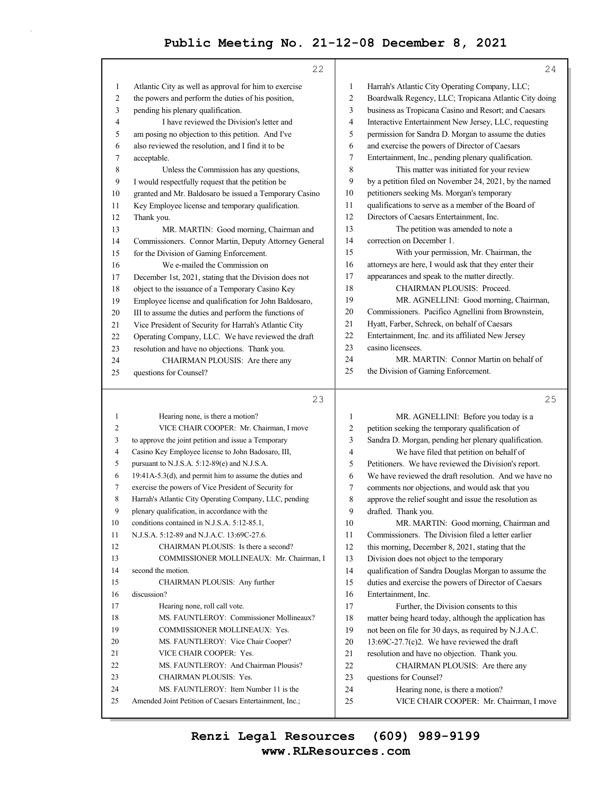|                | 22                                                     |                | 24                                                                                      |
|----------------|--------------------------------------------------------|----------------|-----------------------------------------------------------------------------------------|
| $\mathbf{1}$   | Atlantic City as well as approval for him to exercise  | 1              | Harrah's Atlantic City Operating Company, LLC;                                          |
| $\overline{c}$ | the powers and perform the duties of his position,     | $\overline{c}$ | Boardwalk Regency, LLC; Tropicana Atlantic City doing                                   |
| 3              | pending his plenary qualification.                     | 3              | business as Tropicana Casino and Resort; and Caesars                                    |
| $\overline{4}$ | I have reviewed the Division's letter and              | 4              | Interactive Entertainment New Jersey, LLC, requesting                                   |
| 5              | am posing no objection to this petition. And I've      | 5              | permission for Sandra D. Morgan to assume the duties                                    |
| 6              | also reviewed the resolution, and I find it to be      | 6              | and exercise the powers of Director of Caesars                                          |
| 7              | acceptable.                                            | 7              | Entertainment, Inc., pending plenary qualification.                                     |
| 8              | Unless the Commission has any questions,               | 8              | This matter was initiated for your review                                               |
| $\overline{9}$ | I would respectfully request that the petition be      | 9              | by a petition filed on November 24, 2021, by the named                                  |
| 10             | granted and Mr. Baldosaro be issued a Temporary Casino | 10             | petitioners seeking Ms. Morgan's temporary                                              |
| 11             | Key Employee license and temporary qualification.      | 11             | qualifications to serve as a member of the Board of                                     |
| 12             | Thank you.                                             | 12             | Directors of Caesars Entertainment, Inc.                                                |
| 13             | MR. MARTIN: Good morning, Chairman and                 | 13             | The petition was amended to note a                                                      |
| 14             | Commissioners. Connor Martin, Deputy Attorney General  | 14             | correction on December 1.                                                               |
| 15             | for the Division of Gaming Enforcement.                | 15             | With your permission, Mr. Chairman, the                                                 |
| 16             | We e-mailed the Commission on                          | 16             | attorneys are here, I would ask that they enter their                                   |
| 17             | December 1st, 2021, stating that the Division does not | 17             | appearances and speak to the matter directly.                                           |
| 18             | object to the issuance of a Temporary Casino Key       | 18             | CHAIRMAN PLOUSIS: Proceed.                                                              |
| 19             | Employee license and qualification for John Baldosaro, | 19             | MR. AGNELLINI: Good morning, Chairman,                                                  |
| 20             | III to assume the duties and perform the functions of  | 20             | Commissioners. Pacifico Agnellini from Brownstein,                                      |
| 21             | Vice President of Security for Harrah's Atlantic City  | 21             | Hyatt, Farber, Schreck, on behalf of Caesars                                            |
| 22             | Operating Company, LLC. We have reviewed the draft     | 22             | Entertainment, Inc. and its affiliated New Jersey                                       |
| 23             | resolution and have no objections. Thank you.          | 23             | casino licensees.                                                                       |
| 24             | CHAIRMAN PLOUSIS: Are there any                        | 24             | MR. MARTIN: Connor Martin on behalf of                                                  |
| 25             | questions for Counsel?                                 | 25             | the Division of Gaming Enforcement.                                                     |
|                |                                                        |                |                                                                                         |
|                |                                                        |                |                                                                                         |
|                | 23                                                     |                | 25                                                                                      |
| $\mathbf{1}$   | Hearing none, is there a motion?                       | $\mathbf{1}$   |                                                                                         |
| 2              | VICE CHAIR COOPER: Mr. Chairman, I move                | 2              | MR. AGNELLINI: Before you today is a<br>petition seeking the temporary qualification of |
| 3              | to approve the joint petition and issue a Temporary    | 3              | Sandra D. Morgan, pending her plenary qualification.                                    |
| 4              | Casino Key Employee license to John Badosaro, III,     | 4              | We have filed that petition on behalf of                                                |
| 5              | pursuant to N.J.S.A. 5:12-89(e) and N.J.S.A.           | 5              | Petitioners. We have reviewed the Division's report.                                    |
| 6              | 19:41A-5.3(d), and permit him to assume the duties and | 6              | We have reviewed the draft resolution. And we have no                                   |
| 7              | exercise the powers of Vice President of Security for  | 7              | comments nor objections, and would ask that you                                         |
| 8              | Harrah's Atlantic City Operating Company, LLC, pending | 8              | approve the relief sought and issue the resolution as                                   |
| 9              | plenary qualification, in accordance with the          | 9              | drafted. Thank you.                                                                     |
| 10             | conditions contained in N.J.S.A. 5:12-85.1,            | 10             | MR. MARTIN: Good morning, Chairman and                                                  |
| 11             | N.J.S.A. 5:12-89 and N.J.A.C. 13:69C-27.6.             | 11             | Commissioners. The Division filed a letter earlier                                      |
| 12             | CHAIRMAN PLOUSIS: Is there a second?                   | 12             | this morning, December 8, 2021, stating that the                                        |
| 13             | COMMISSIONER MOLLINEAUX: Mr. Chairman, I               | 13             | Division does not object to the temporary                                               |
| 14             | second the motion.                                     | 14             | qualification of Sandra Douglas Morgan to assume the                                    |
| 15             | CHAIRMAN PLOUSIS: Any further                          | 15             | duties and exercise the powers of Director of Caesars                                   |
| 16             | discussion?                                            | 16             | Entertainment, Inc.                                                                     |
| 17             | Hearing none, roll call vote.                          | 17             | Further, the Division consents to this                                                  |
| 18             | MS. FAUNTLEROY: Commissioner Mollineaux?               | 18             | matter being heard today, although the application has                                  |
| 19             | COMMISSIONER MOLLINEAUX: Yes.                          | 19             | not been on file for 30 days, as required by N.J.A.C.                                   |
| 20             | MS. FAUNTLEROY: Vice Chair Cooper?                     | 20             | 13:69C-27.7(c)2. We have reviewed the draft                                             |
| 21             | VICE CHAIR COOPER: Yes.                                | 21             | resolution and have no objection. Thank you.                                            |
| 22             | MS. FAUNTLEROY: And Chairman Plousis?                  | 22             | CHAIRMAN PLOUSIS: Are there any                                                         |
| 23             | CHAIRMAN PLOUSIS: Yes.                                 | 23             | questions for Counsel?                                                                  |
| 24             | MS. FAUNTLEROY: Item Number 11 is the                  | 24             | Hearing none, is there a motion?                                                        |
| 25             | Amended Joint Petition of Caesars Entertainment, Inc.; | 25             | VICE CHAIR COOPER: Mr. Chairman, I move                                                 |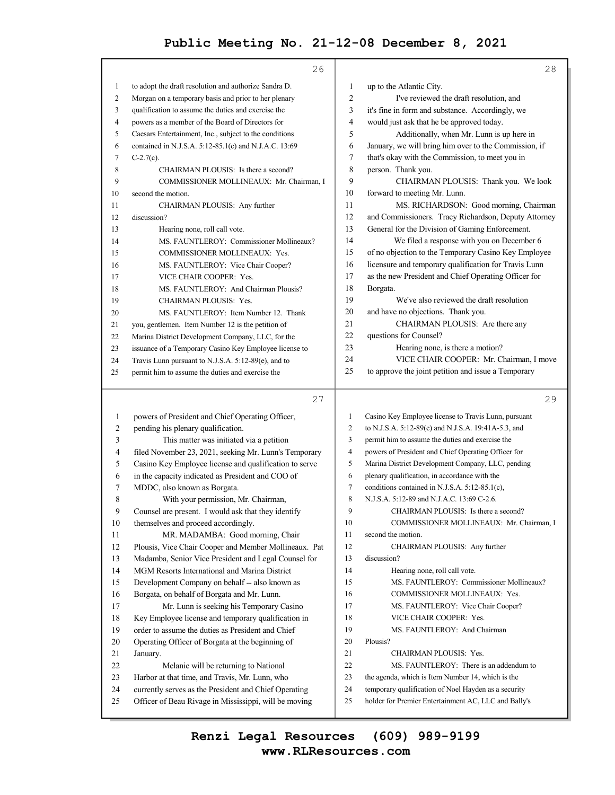|              | 26                                                     |                | 28                                                    |
|--------------|--------------------------------------------------------|----------------|-------------------------------------------------------|
| $\mathbf{1}$ | to adopt the draft resolution and authorize Sandra D.  | $\mathbf{1}$   | up to the Atlantic City.                              |
| 2            | Morgan on a temporary basis and prior to her plenary   | $\overline{c}$ | I've reviewed the draft resolution, and               |
| 3            | qualification to assume the duties and exercise the    | 3              | it's fine in form and substance. Accordingly, we      |
| 4            | powers as a member of the Board of Directors for       | 4              | would just ask that he be approved today.             |
| 5            | Caesars Entertainment, Inc., subject to the conditions | 5              | Additionally, when Mr. Lunn is up here in             |
| 6            | contained in N.J.S.A. 5:12-85.1(c) and N.J.A.C. 13:69  | 6              | January, we will bring him over to the Commission, if |
| 7            | $C-2.7(c)$ .                                           | 7              | that's okay with the Commission, to meet you in       |
| 8            | CHAIRMAN PLOUSIS: Is there a second?                   | 8              | person. Thank you.                                    |
| 9            | COMMISSIONER MOLLINEAUX: Mr. Chairman, I               | 9              | CHAIRMAN PLOUSIS: Thank you. We look                  |
| 10           | second the motion.                                     | 10             | forward to meeting Mr. Lunn.                          |
| 11           | CHAIRMAN PLOUSIS: Any further                          | 11             | MS. RICHARDSON: Good morning, Chairman                |
| 12           | discussion?                                            | 12             | and Commissioners. Tracy Richardson, Deputy Attorney  |
| 13           | Hearing none, roll call vote.                          | 13             | General for the Division of Gaming Enforcement.       |
| 14           | MS. FAUNTLEROY: Commissioner Mollineaux?               | 14             | We filed a response with you on December 6            |
| 15           | COMMISSIONER MOLLINEAUX: Yes.                          | 15             | of no objection to the Temporary Casino Key Employee  |
| 16           | MS. FAUNTLEROY: Vice Chair Cooper?                     | 16             | licensure and temporary qualification for Travis Lunn |
| 17           | VICE CHAIR COOPER: Yes.                                | 17             | as the new President and Chief Operating Officer for  |
| 18           | MS. FAUNTLEROY: And Chairman Plousis?                  | 18             | Borgata.                                              |
| 19           | CHAIRMAN PLOUSIS: Yes.                                 | 19             | We've also reviewed the draft resolution              |
| 20           | MS. FAUNTLEROY: Item Number 12. Thank                  | 20             | and have no objections. Thank you.                    |
| 21           | you, gentlemen. Item Number 12 is the petition of      | 21             | CHAIRMAN PLOUSIS: Are there any                       |
| 22           | Marina District Development Company, LLC, for the      | 22             | questions for Counsel?                                |
| 23           | issuance of a Temporary Casino Key Employee license to | 23             | Hearing none, is there a motion?                      |
| 24           | Travis Lunn pursuant to N.J.S.A. 5:12-89(e), and to    | 24             | VICE CHAIR COOPER: Mr. Chairman, I move               |
| 25           | permit him to assume the duties and exercise the       | 25             | to approve the joint petition and issue a Temporary   |
|              |                                                        |                |                                                       |
|              | 27                                                     |                | 29                                                    |
| 1            | powers of President and Chief Operating Officer,       | $\mathbf{1}$   | Casino Key Employee license to Travis Lunn, pursuant  |
| 2            | pending his plenary qualification.                     | 2              | to N.J.S.A. 5:12-89(e) and N.J.S.A. 19:41A-5.3, and   |
| 3            | This matter was initiated via a petition               | 3              | permit him to assume the duties and exercise the      |
| 4            | filed November 23, 2021, seeking Mr. Lunn's Temporary  | 4              | powers of President and Chief Operating Officer for   |
| 5            | Casino Key Employee license and qualification to serve | 5              | Marina District Development Company, LLC, pending     |
| 6            | in the capacity indicated as President and COO of      | 6              | plenary qualification, in accordance with the         |
| 7            | MDDC, also known as Borgata.                           | $\tau$         | conditions contained in N.J.S.A. 5:12-85.1(c),        |
| 8            | With your permission, Mr. Chairman,                    | 8              | N.J.S.A. 5:12-89 and N.J.A.C. 13:69 C-2.6.            |
| 9            | Counsel are present. I would ask that they identify    | 9              | CHAIRMAN PLOUSIS: Is there a second?                  |
| 10           | themselves and proceed accordingly.                    | 10             | COMMISSIONER MOLLINEAUX: Mr. Chairman, I              |
| 11           | MR. MADAMBA: Good morning, Chair                       | 11             | second the motion.                                    |
| 12           | Plousis, Vice Chair Cooper and Member Mollineaux. Pat  | 12             | CHAIRMAN PLOUSIS: Any further                         |
| 13           | Madamba, Senior Vice President and Legal Counsel for   | 13             | discussion?                                           |
| 14           | MGM Resorts International and Marina District          | 14             | Hearing none, roll call vote.                         |
| 15           | Development Company on behalf -- also known as         | 15             | MS. FAUNTLEROY: Commissioner Mollineaux?              |
| 16           | Borgata, on behalf of Borgata and Mr. Lunn.            | 16             | COMMISSIONER MOLLINEAUX: Yes.                         |
| 17           | Mr. Lunn is seeking his Temporary Casino               | 17             | MS. FAUNTLEROY: Vice Chair Cooper?                    |
| 18           | Key Employee license and temporary qualification in    | 18             | VICE CHAIR COOPER: Yes.                               |
| 19           | order to assume the duties as President and Chief      | 19             | MS. FAUNTLEROY: And Chairman                          |
| $20\,$       | Operating Officer of Borgata at the beginning of       | $20\,$         | Plousis?                                              |
| 21           |                                                        |                |                                                       |
|              | January.                                               | 21             | CHAIRMAN PLOUSIS: Yes.                                |
| 22           | Melanie will be returning to National                  | $22\,$         | MS. FAUNTLEROY: There is an addendum to               |
| 23           | Harbor at that time, and Travis, Mr. Lunn, who         | 23             | the agenda, which is Item Number 14, which is the     |
| 24           | currently serves as the President and Chief Operating  | 24             | temporary qualification of Noel Hayden as a security  |
| 25           | Officer of Beau Rivage in Mississippi, will be moving  | 25             | holder for Premier Entertainment AC, LLC and Bally's  |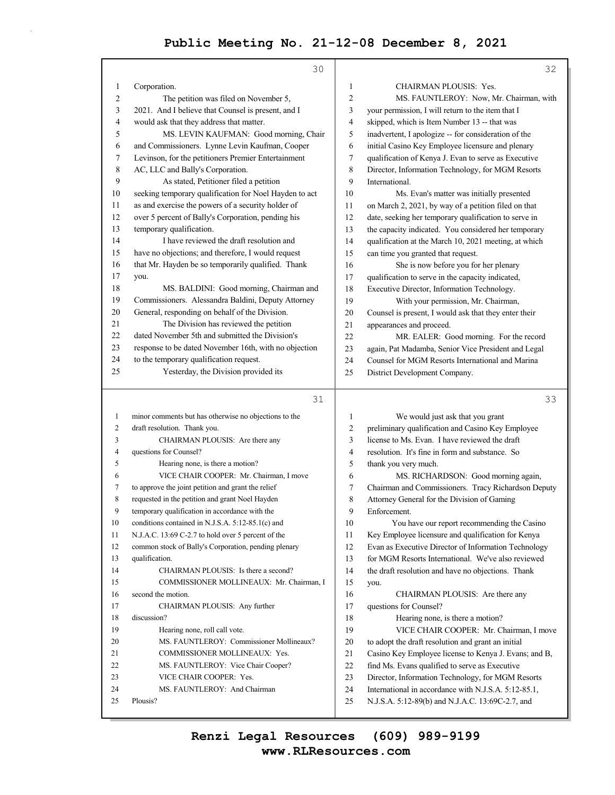|              | 30                                                             |                | 32                                                                                                       |
|--------------|----------------------------------------------------------------|----------------|----------------------------------------------------------------------------------------------------------|
| $\mathbf{1}$ | Corporation.                                                   | $\mathbf{1}$   | CHAIRMAN PLOUSIS: Yes.                                                                                   |
| 2            | The petition was filed on November 5,                          | $\overline{c}$ | MS. FAUNTLEROY: Now, Mr. Chairman, with                                                                  |
| 3            | 2021. And I believe that Counsel is present, and I             | 3              | your permission, I will return to the item that I                                                        |
| 4            | would ask that they address that matter.                       | 4              | skipped, which is Item Number 13 -- that was                                                             |
| 5            | MS. LEVIN KAUFMAN: Good morning, Chair                         | 5              | inadvertent, I apologize -- for consideration of the                                                     |
| 6            | and Commissioners. Lynne Levin Kaufman, Cooper                 | 6              | initial Casino Key Employee licensure and plenary                                                        |
| 7            | Levinson, for the petitioners Premier Entertainment            | 7              | qualification of Kenya J. Evan to serve as Executive                                                     |
| 8            | AC, LLC and Bally's Corporation.                               | 8              | Director, Information Technology, for MGM Resorts                                                        |
| 9            | As stated, Petitioner filed a petition                         | 9              | International.                                                                                           |
| 10           | seeking temporary qualification for Noel Hayden to act         | 10             | Ms. Evan's matter was initially presented                                                                |
| 11           | as and exercise the powers of a security holder of             | 11             | on March 2, 2021, by way of a petition filed on that                                                     |
| 12           | over 5 percent of Bally's Corporation, pending his             | 12             | date, seeking her temporary qualification to serve in                                                    |
| 13           | temporary qualification.                                       | 13             | the capacity indicated. You considered her temporary                                                     |
| 14           | I have reviewed the draft resolution and                       | 14             | qualification at the March 10, 2021 meeting, at which                                                    |
| 15           | have no objections; and therefore, I would request             | 15             | can time you granted that request.                                                                       |
| 16           | that Mr. Hayden be so temporarily qualified. Thank             | 16             | She is now before you for her plenary                                                                    |
| 17           | you.                                                           | 17             | qualification to serve in the capacity indicated,                                                        |
| 18           | MS. BALDINI: Good morning, Chairman and                        | 18             | Executive Director, Information Technology.                                                              |
| 19           | Commissioners. Alessandra Baldini, Deputy Attorney             | 19             | With your permission, Mr. Chairman,                                                                      |
| 20           | General, responding on behalf of the Division.                 | $20\,$         | Counsel is present, I would ask that they enter their                                                    |
| 21           | The Division has reviewed the petition                         | 21             | appearances and proceed.                                                                                 |
| 22           | dated November 5th and submitted the Division's                | 22             | MR. EALER: Good morning. For the record                                                                  |
| 23           | response to be dated November 16th, with no objection          | 23             | again, Pat Madamba, Senior Vice President and Legal                                                      |
| 24<br>25     | to the temporary qualification request.                        | 24             | Counsel for MGM Resorts International and Marina                                                         |
|              | Yesterday, the Division provided its                           | 25             | District Development Company.                                                                            |
|              |                                                                |                |                                                                                                          |
|              | 31                                                             |                | 33                                                                                                       |
| 1            | minor comments but has otherwise no objections to the          | $\mathbf{1}$   | We would just ask that you grant                                                                         |
| 2            | draft resolution. Thank you.                                   | $\overline{c}$ | preliminary qualification and Casino Key Employee                                                        |
| 3            | CHAIRMAN PLOUSIS: Are there any                                | 3              | license to Ms. Evan. I have reviewed the draft                                                           |
| 4            | questions for Counsel?                                         | 4              | resolution. It's fine in form and substance. So                                                          |
| 5            | Hearing none, is there a motion?                               | 5              | thank you very much.                                                                                     |
| 6            | VICE CHAIR COOPER: Mr. Chairman, I move                        | 6              | MS. RICHARDSON: Good morning again,                                                                      |
| 7            | to approve the joint petition and grant the relief             | $\overline{7}$ | Chairman and Commissioners. Tracy Richardson Deputy                                                      |
| 8            | requested in the petition and grant Noel Hayden                | 8              | Attorney General for the Division of Gaming                                                              |
| 9            | temporary qualification in accordance with the                 | 9              | Enforcement.                                                                                             |
| 10           | conditions contained in N.J.S.A. $5:12-85.1(c)$ and            | 10             | You have our report recommending the Casino                                                              |
| 11           | N.J.A.C. 13:69 C-2.7 to hold over 5 percent of the             | 11             | Key Employee licensure and qualification for Kenya                                                       |
| 12           | common stock of Bally's Corporation, pending plenary           | 12             | Evan as Executive Director of Information Technology                                                     |
| 13           | qualification.                                                 | 13             | for MGM Resorts International. We've also reviewed                                                       |
| 14           | CHAIRMAN PLOUSIS: Is there a second?                           | 14             | the draft resolution and have no objections. Thank                                                       |
| 15<br>16     | COMMISSIONER MOLLINEAUX: Mr. Chairman, I<br>second the motion. | 15             | you.                                                                                                     |
| 17           |                                                                | 16<br>17       | CHAIRMAN PLOUSIS: Are there any                                                                          |
| 18           | CHAIRMAN PLOUSIS: Any further<br>discussion?                   |                | questions for Counsel?                                                                                   |
| 19           | Hearing none, roll call vote.                                  | 18<br>19       | Hearing none, is there a motion?<br>VICE CHAIR COOPER: Mr. Chairman, I move                              |
| 20           | MS. FAUNTLEROY: Commissioner Mollineaux?                       | 20             | to adopt the draft resolution and grant an initial                                                       |
| 21           | COMMISSIONER MOLLINEAUX: Yes.                                  | 21             | Casino Key Employee license to Kenya J. Evans; and B,                                                    |
| 22           | MS. FAUNTLEROY: Vice Chair Cooper?                             | 22             | find Ms. Evans qualified to serve as Executive                                                           |
| 23           | VICE CHAIR COOPER: Yes.                                        | 23             | Director, Information Technology, for MGM Resorts                                                        |
| 24<br>25     | MS. FAUNTLEROY: And Chairman<br>Plousis?                       | 24<br>25       | International in accordance with N.J.S.A. 5:12-85.1,<br>N.J.S.A. 5:12-89(b) and N.J.A.C. 13:69C-2.7, and |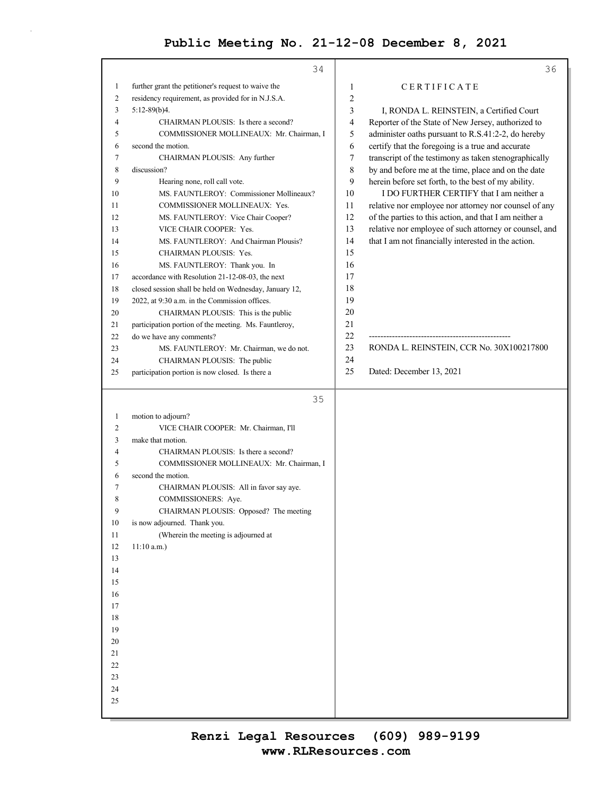|                | 34                                                                              |                                                              | 36 |
|----------------|---------------------------------------------------------------------------------|--------------------------------------------------------------|----|
| $\mathbf{1}$   | further grant the petitioner's request to waive the                             | CERTIFICATE<br>1                                             |    |
| $\overline{c}$ | residency requirement, as provided for in N.J.S.A.                              | $\overline{c}$                                               |    |
| 3              | $5:12-89(b)4.$                                                                  | 3<br>I, RONDA L. REINSTEIN, a Certified Court                |    |
| 4              | CHAIRMAN PLOUSIS: Is there a second?                                            | 4<br>Reporter of the State of New Jersey, authorized to      |    |
| 5              | COMMISSIONER MOLLINEAUX: Mr. Chairman, I                                        | 5<br>administer oaths pursuant to R.S.41:2-2, do hereby      |    |
| 6              | second the motion.                                                              | certify that the foregoing is a true and accurate<br>6       |    |
| 7              | CHAIRMAN PLOUSIS: Any further                                                   | 7<br>transcript of the testimony as taken stenographically   |    |
| 8              | discussion?                                                                     | 8<br>by and before me at the time, place and on the date     |    |
| 9              | Hearing none, roll call vote.                                                   | 9<br>herein before set forth, to the best of my ability.     |    |
| 10             | MS. FAUNTLEROY: Commissioner Mollineaux?                                        | 10<br>I DO FURTHER CERTIFY that I am neither a               |    |
| 11             | COMMISSIONER MOLLINEAUX: Yes.                                                   | 11<br>relative nor employee nor attorney nor counsel of any  |    |
| 12             | MS. FAUNTLEROY: Vice Chair Cooper?                                              | 12<br>of the parties to this action, and that I am neither a |    |
| 13             | VICE CHAIR COOPER: Yes.                                                         | 13<br>relative nor employee of such attorney or counsel, and |    |
| 14             | MS. FAUNTLEROY: And Chairman Plousis?                                           | 14<br>that I am not financially interested in the action.    |    |
| 15             | CHAIRMAN PLOUSIS: Yes.                                                          | 15                                                           |    |
| 16             | MS. FAUNTLEROY: Thank you. In                                                   | 16                                                           |    |
| 17             | accordance with Resolution 21-12-08-03, the next                                | 17                                                           |    |
| 18             | closed session shall be held on Wednesday, January 12,                          | 18                                                           |    |
| 19             | 2022, at 9:30 a.m. in the Commission offices.                                   | 19                                                           |    |
| 20             | CHAIRMAN PLOUSIS: This is the public                                            | 20                                                           |    |
| 21             | participation portion of the meeting. Ms. Fauntleroy,                           | 21<br>22                                                     |    |
| 22             | do we have any comments?                                                        | 23<br>RONDA L. REINSTEIN, CCR No. 30X100217800               |    |
| 23<br>24       | MS. FAUNTLEROY: Mr. Chairman, we do not.                                        | 24                                                           |    |
| 25             | CHAIRMAN PLOUSIS: The public<br>participation portion is now closed. Is there a | 25<br>Dated: December 13, 2021                               |    |
|                |                                                                                 |                                                              |    |
|                |                                                                                 |                                                              |    |
|                | 35                                                                              |                                                              |    |
|                |                                                                                 |                                                              |    |
| $\mathbf{1}$   | motion to adjourn?                                                              |                                                              |    |
| $\overline{c}$ | VICE CHAIR COOPER: Mr. Chairman, I'll                                           |                                                              |    |
| 3<br>4         | make that motion.<br>CHAIRMAN PLOUSIS: Is there a second?                       |                                                              |    |
| 5              | COMMISSIONER MOLLINEAUX: Mr. Chairman, I                                        |                                                              |    |
| 6              | second the motion.                                                              |                                                              |    |
| 7              | CHAIRMAN PLOUSIS: All in favor say aye.                                         |                                                              |    |
| 8              | COMMISSIONERS: Aye.                                                             |                                                              |    |
| 9              | CHAIRMAN PLOUSIS: Opposed? The meeting                                          |                                                              |    |
| 10             | is now adjourned. Thank you.                                                    |                                                              |    |
| 11             | (Wherein the meeting is adjourned at                                            |                                                              |    |
| 12             | $11:10$ a.m.)                                                                   |                                                              |    |
| 13             |                                                                                 |                                                              |    |
| 14             |                                                                                 |                                                              |    |
| 15             |                                                                                 |                                                              |    |
| 16             |                                                                                 |                                                              |    |
| 17             |                                                                                 |                                                              |    |
| 18             |                                                                                 |                                                              |    |
| 19             |                                                                                 |                                                              |    |
| $20\,$         |                                                                                 |                                                              |    |
| 21             |                                                                                 |                                                              |    |
| 22             |                                                                                 |                                                              |    |
| 23             |                                                                                 |                                                              |    |
| 24<br>25       |                                                                                 |                                                              |    |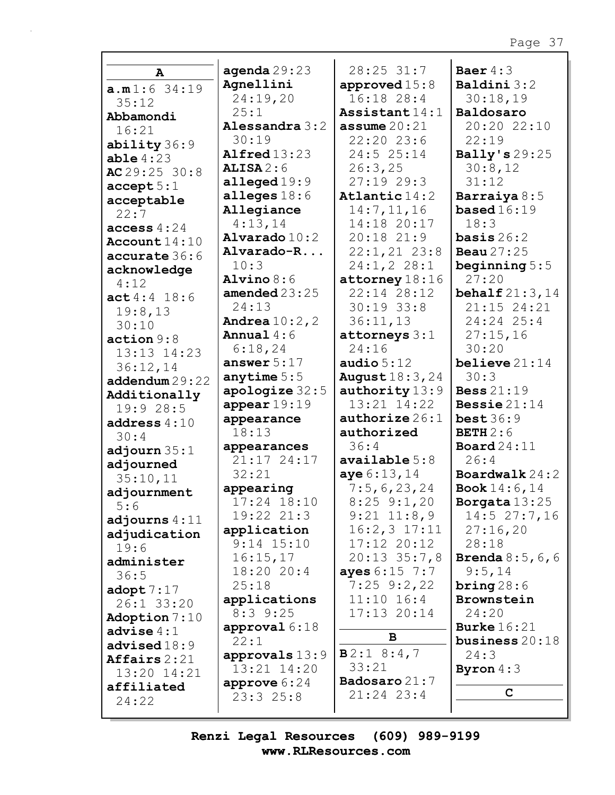| $\mathbf{A}$          | agenda $29:23$             | 28:25 31:7               | Baer $4:3$                  |
|-----------------------|----------------------------|--------------------------|-----------------------------|
| a.m1:6 34:19          | Agnellini                  | approved $15:8$          | Baldini 3:2                 |
| 35:12                 | 24:19,20                   | 16:18 28:4               | 30:18,19                    |
| Abbamondi             | 25:1                       | Assistant $14:1$         | Baldosaro                   |
| 16:21                 | Alessandra 3:2             | assume $20:21$           | 20:20 22:10                 |
| ability 36:9          | 30:19                      | 22:20 23:6               | 22:19                       |
| able 4:23             | Alfred $13:23$             | 24:5 25:14               | Bally's 29:25               |
| AC $29:25$ 30:8       | ALISA2:6                   | 26:3,25                  | 30:8,12                     |
| accept 5:1            | alleged $19:9$             | 27:1929:3                | 31:12                       |
| acceptable            | alleges $18:6$             | Atlantic $14:2$          | Barraiya 8:5                |
| 22:7                  | Allegiance                 | 14:7, 11, 16             | based $16:19$               |
| access $4:24$         | 4:13,14                    | 14:18 20:17              | 18:3                        |
| Account $14:10$       | Alvarado $10:2$            | 20:18 21:9               | basis $26:2$                |
| accurate 36:6         | Alvarado-R                 | $22:1, 21$ 23:8          | <b>Beau</b> 27:25           |
| acknowledge           | 10:3                       | 24:1, 2 28:1             | beginning $5:5$             |
| 4:12                  | Alvino $8:6$               | $\texttt{attorney}18:16$ | 27:20                       |
| act4:4 18:6           | amended $23:25$            | 22:14 28:12              | behalf $21:3,14$            |
| 19:8,13               | 24:13                      | $30:19$ 33:8             | 21:15 24:21                 |
| 30:10                 | <b>Andrea</b> $10:2$ , $2$ | 36:11,13                 | 24:24 25:4                  |
| action 9:8            | Annual $4:6$               | attorneys $3:1$          | 27:15,16                    |
| 13:13 14:23           | 6:18,24                    | 24:16                    | 30:20                       |
| 36:12,14              | answer $5:17$              | audio $5:12$             | believe $21:14$             |
| addendum 29:22        | anytime $5:5$              | <b>August</b> 18:3, 24   | 30:3                        |
| Additionally          | apologize $32:5$           | authority 13:9           | <b>Bess</b> 21:19           |
| 19:928:5              | appear $19:19$             | $13:21$ $14:22$          | Bessie $21:14$              |
| address $4:10$        | appearance                 | authorize $26:1$         | best36:9                    |
| 30:4                  | 18:13                      | authorized               | <b>BETH</b> $2:6$           |
| adjourn $35:1$        | appearances                | 36:4                     | Board $24:11$               |
| adjourned             | 21:17 24:17                | $\alpha$ vailable $5:8$  | 26:4                        |
| 35:10,11              | 32:21                      | aye 6:13,14              | Boardwalk $24:2$            |
| adjournment           | appearing                  | 7:5,6,23,24              | <b>Book</b> $14:6, 14$      |
| 5:6                   | 17:24 18:10                | $8:25$ 9:1,20            | Borgata 13:25               |
| adjourns $4:11$       | 19:22 21:3                 | $9:21$ $11:8,9$          | $14:5$ 27:7,16              |
| adjudication          | application                | $16:2,3$ 17:11           | 27:16,20                    |
| 19:6                  | $9:14$ $15:10$             | $17:12$ $20:12$          | 28:18                       |
| administer            | 16:15,17                   | $20:13$ $35:7,8$         | <b>Brenda</b> $8:5, 6, 6$   |
| 36:5                  | 18:20 20:4                 | ayes 6:15 7:7            | 9:5,14                      |
| $\texttt{adopt} 7:17$ | 25:18                      | $7:25$ 9:2,22            | $\frac{\text{bring}}{28:6}$ |
| 26:1 33:20            | applications               | $11:10$ $16:4$           | Brownstein                  |
| Adoption 7:10         | $8:3$ 9:25                 | $17:13$ $20:14$          | 24:20                       |
| advise $4:1$          | approval $6:18$            |                          | <b>Burke</b> $16:21$        |
| advised18:9           | 22:1                       | в                        | business $20:18$            |
| Affairs $2:21$        | approvals 13:9             | B2:18::4,7               | 24:3                        |
| 13:20 14:21           | 13:21 14:20                | 33:21                    | Byron $4:3$                 |
| affiliated            | approve $6:24$             | Badosaro 21:7            |                             |
| 24:22                 | 23:325:8                   | $21:24$ 23:4             | C                           |
|                       |                            |                          |                             |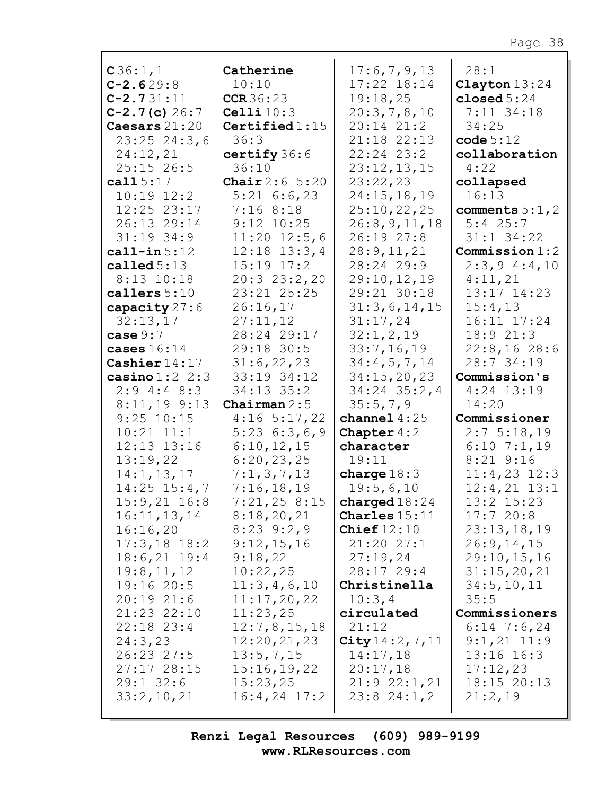| C36:1,1           | Catherine               | 17:6,7,9,13            | 28:1             |
|-------------------|-------------------------|------------------------|------------------|
| $C-2.629:8$       | 10:10                   | 17:22 18:14            | Clayton $13:24$  |
| $C-2.731:11$      | CCR36:23                | 19:18,25               | closed $5:24$    |
| $C-2.7(c) 26:7$   | Celli $10:3$            | 20:3,7,8,10            | $7:11$ 34:18     |
| Caesars 21:20     | Certified $1:15$        | 20:14 21:2             | 34:25            |
| 23:25 24:3,6      | 36:3                    | 21:18 22:13            | code 5:12        |
| 24:12,21          | certify 36:6            | 22:24 23:2             | collaboration    |
| $25:15$ 26:5      | 36:10                   | 23:12,13,15            | 4:22             |
| cal 115:17        | <b>Chair</b> $2:6$ 5:20 | 23:22,23               | collapsed        |
| $10:19$ $12:2$    | $5:21$ 6:6,23           | 24:15, 18, 19          | 16:13            |
| 12:25 23:17       | 7:168:18                | 25:10,22,25            | comments $5:1,2$ |
| 26:13 29:14       | $9:12$ $10:25$          | 26:8, 9, 11, 18        | $5:4$ 25:7       |
| $31:19$ 34:9      | $11:20$ $12:5,6$        | 26:19 27:8             | $31:1$ $34:22$   |
| $cal1$ -in $5:12$ | $12:18$ $13:3,4$        | 28:9,11,21             | Commission $1:2$ |
|                   |                         | 28:24 29:9             | 2:3,94:4,10      |
| called $5:13$     | $15:19$ $17:2$          |                        |                  |
| $8:13$ $10:18$    | 20:323:2,20             | 29:10,12,19            | 4:11,21          |
| callers $5:10$    | 23:21 25:25             | 29:21 30:18            | 13:17 14:23      |
| capacity 27:6     | 26:16,17                | 31:3,6,14,15           | 15:4,13          |
| 32:13,17          | 27:11,12                | 31:17,24               | 16:11 17:24      |
| case $9:7$        | 28:24 29:17             | 32:1, 2, 19            | 18:9 21:3        |
| cases $16:14$     | 29:18 30:5              | 33:7,16,19             | 22:8,1628:6      |
| Cashier $14:17$   | 31:6,22,23              | 34:4,5,7,14            | 28:7 34:19       |
| casino $1:2$ 2:3  | 33:19 34:12             | 34:15,20,23            | Commission's     |
| $2:9$ 4:4 8:3     | $34:13$ $35:2$          | $34:24$ $35:2$ , 4     | $4:24$ 13:19     |
| 8:11,19 9:13      | Chairman $2:5$          | 35:5,7,9               | 14:20            |
|                   |                         |                        |                  |
|                   |                         |                        |                  |
| $9:25$ 10:15      | $4:16$ 5:17,22          | channel $4:25$         | Commissioner     |
| $10:21$ $11:1$    | $5:23 \quad 6:3,6,9$    | Chapter $4:2$          | 2:75:18,19       |
| 12:13 13:16       | 6:10,12,15              | character              | $6:10$ 7:1,19    |
| 13:19,22          | 6:20,23,25              | 19:11                  | $8:21$ $9:16$    |
| 14:1, 13, 17      | 7:1,3,7,13              | charge $18:3$          | $11:4,23$ $12:3$ |
| $14:25$ $15:4,7$  | 7:16,18,19              | 19:5,6,10              | $12:4,21$ $13:1$ |
| $15:9,21$ $16:8$  | 7:21,258:15             | charged $18:24$        | 13:2 15:23       |
| 16:11,13,14       | 8:18,20,21              | <b>Charles</b> $15:11$ | 17:720:8         |
| 16:16,20          | $8:23$ $9:2,9$          | Chief $12:10$          | 23:13,18,19      |
| $17:3,18$ 18:2    | 9:12,15,16              | 21:2027:1              | 26:9, 14, 15     |
| $18:6,21$ 19:4    | 9:18,22                 | 27:19,24               | 29:10,15,16      |
| 19:8,11,12        | 10:22,25                | 28:17 29:4             | 31:15,20,21      |
| 19:16 20:5        | 11:3,4,6,10             | Christinella           | 34:5, 10, 11     |
| 20:1921:6         | 11:17,20,22             | 10:3,4                 | 35:5             |
| 21:23 22:10       | 11:23,25                | circulated             | Commissioners    |
| $22:18$ $23:4$    | 12:7,8,15,18            | 21:12                  | $6:14$ 7:6,24    |
| 24:3,23           |                         |                        | $9:1,21$ 11:9    |
| 26:23 27:5        | 12:20,21,23             | City 14:2, 7, 11       | $13:16$ $16:3$   |
|                   | 13:5,7,15               | 14:17,18               |                  |
| 27:17 28:15       | 15:16,19,22             | 20:17,18               | 17:12,23         |
| $29:1$ 32:6       | 15:23,25                | 21:92:1,21             | 18:15 20:13      |
| 33:2,10,21        | $16:4,24$ 17:2          | $23:8$ $24:1,2$        | 21:2,19          |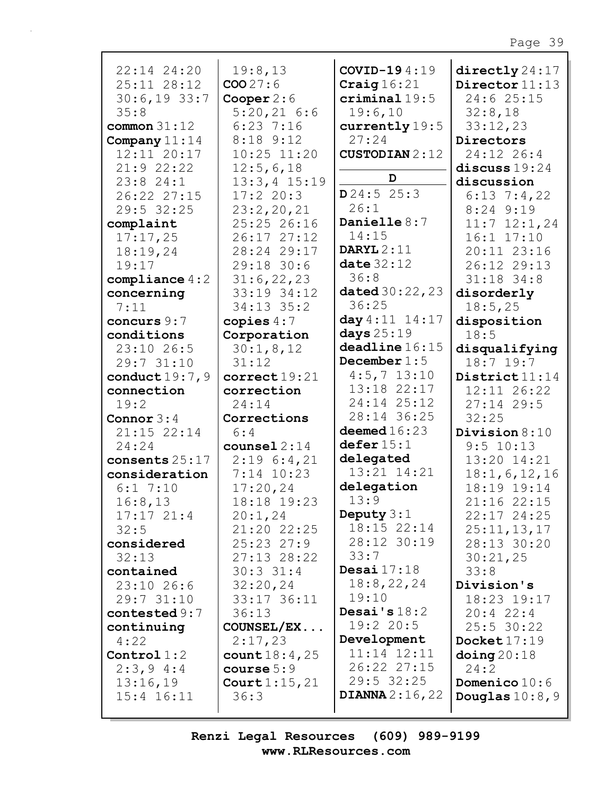| 22:14 24:20<br>25:11 28:12<br>$30:6,19$ 33:7<br>35:8<br>common $31:12$<br>Company $11:14$<br>12:11 20:17<br>21:922:22<br>23:824:1<br>26:22 27:15<br>29:5 32:25<br>complaint<br>17:17,25<br>18:19,24<br>19:17<br>compliance $4:2$<br>concerning<br>7:11<br>concurs 9:7<br>conditions | 19:8,13<br>COO 27:6<br>Cooper $2:6$<br>$5:20,21$ 6:6<br>$6:23$ 7:16<br>$8:18$ 9:12<br>$10:25$ $11:20$<br>12:5,6,18<br>$13:3,4$ $15:19$<br>17:220:3<br>23:2,20,21<br>25:25 26:16<br>26:17 27:12<br>28:24 29:17<br>29:18 30:6<br>31:6,22,23<br>33:19 34:12<br>34:13 35:2<br>copies $4:7$<br>Corporation | COVID-194:19<br>Craig $16:21$<br>$criminal 19:5$<br>19:6,10<br>currently 19:5<br>27:24<br><b>CUSTODIAN</b> 2:12<br>D<br>D24:525:3<br>26:1<br>Danielle $8:7$<br>14:15<br>DARYL $2:11$<br>date $32:12$<br>36:8<br>dated 30:22, 23<br>36:25<br>day 4:11 14:17<br>days $25:19$ | $\text{directly}\,24\!:\!17$<br>Director 11:13<br>24:6 25:15<br>32:8,18<br>33:12,23<br>Directors<br>24:12 26:4<br>discuss $19:24$<br>discussion<br>$6:13 \ 7:4,22$<br>$8:24$ $9:19$<br>$11:7$ $12:1,24$<br>$16:1$ $17:10$<br>20:11 23:16<br>26:12 29:13<br>$31:18$ 34:8<br>disorderly<br>18:5,25<br>disposition<br>18:5 |
|-------------------------------------------------------------------------------------------------------------------------------------------------------------------------------------------------------------------------------------------------------------------------------------|-------------------------------------------------------------------------------------------------------------------------------------------------------------------------------------------------------------------------------------------------------------------------------------------------------|----------------------------------------------------------------------------------------------------------------------------------------------------------------------------------------------------------------------------------------------------------------------------|-------------------------------------------------------------------------------------------------------------------------------------------------------------------------------------------------------------------------------------------------------------------------------------------------------------------------|
| 23:10 26:5                                                                                                                                                                                                                                                                          | 30:1,8,12                                                                                                                                                                                                                                                                                             | deadline 16:15                                                                                                                                                                                                                                                             | disqualifying                                                                                                                                                                                                                                                                                                           |
| 29:7 31:10<br>conduct $19:7,9$                                                                                                                                                                                                                                                      | 31:12<br>correct 19:21                                                                                                                                                                                                                                                                                | December $1:5$<br>$4:5, 7$ 13:10                                                                                                                                                                                                                                           | $18:7$ 19:7<br>District11:14                                                                                                                                                                                                                                                                                            |
| connection                                                                                                                                                                                                                                                                          | correction                                                                                                                                                                                                                                                                                            | 13:18 22:17                                                                                                                                                                                                                                                                | 12:11 26:22                                                                                                                                                                                                                                                                                                             |
| 19:2                                                                                                                                                                                                                                                                                | 24:14                                                                                                                                                                                                                                                                                                 | 24:14 25:12                                                                                                                                                                                                                                                                | $27:14$ 29:5                                                                                                                                                                                                                                                                                                            |
| Connor $3:4$                                                                                                                                                                                                                                                                        | Corrections                                                                                                                                                                                                                                                                                           | 28:14 36:25                                                                                                                                                                                                                                                                | 32:25                                                                                                                                                                                                                                                                                                                   |
| 21:15 22:14                                                                                                                                                                                                                                                                         | 6:4                                                                                                                                                                                                                                                                                                   | deemed $16:23$                                                                                                                                                                                                                                                             | Division 8:10                                                                                                                                                                                                                                                                                                           |
| 24:24                                                                                                                                                                                                                                                                               | counsel $2:14$                                                                                                                                                                                                                                                                                        | defer 15:1                                                                                                                                                                                                                                                                 | 9:5 10:13                                                                                                                                                                                                                                                                                                               |
| consents 25:17                                                                                                                                                                                                                                                                      | $2:19 \t6:4,21$                                                                                                                                                                                                                                                                                       | delegated                                                                                                                                                                                                                                                                  | 13:20 14:21                                                                                                                                                                                                                                                                                                             |
| consideration                                                                                                                                                                                                                                                                       | $7:14$ 10:23                                                                                                                                                                                                                                                                                          | 13:21 14:21                                                                                                                                                                                                                                                                | 18:1, 6, 12, 16                                                                                                                                                                                                                                                                                                         |
| 6:17:10                                                                                                                                                                                                                                                                             | 17:20,24                                                                                                                                                                                                                                                                                              | delegation<br>13:9                                                                                                                                                                                                                                                         | 18:19 19:14                                                                                                                                                                                                                                                                                                             |
| 16:8,13                                                                                                                                                                                                                                                                             | 18:18 19:23                                                                                                                                                                                                                                                                                           |                                                                                                                                                                                                                                                                            | 21:16 22:15                                                                                                                                                                                                                                                                                                             |
| $17:17$ $21:4$<br>32:5                                                                                                                                                                                                                                                              | 20:1,24<br>21:20 22:25                                                                                                                                                                                                                                                                                | Deputy $3:1$<br>18:15 22:14                                                                                                                                                                                                                                                | 22:17 24:25<br>25:11,13,17                                                                                                                                                                                                                                                                                              |
| considered                                                                                                                                                                                                                                                                          | $25:23$ $27:9$                                                                                                                                                                                                                                                                                        | 28:12 30:19                                                                                                                                                                                                                                                                | 28:13 30:20                                                                                                                                                                                                                                                                                                             |
| 32:13                                                                                                                                                                                                                                                                               | $27:13$ $28:22$                                                                                                                                                                                                                                                                                       | 33:7                                                                                                                                                                                                                                                                       | 30:21,25                                                                                                                                                                                                                                                                                                                |
| contained                                                                                                                                                                                                                                                                           | $30:3$ 31:4                                                                                                                                                                                                                                                                                           | Desai $17:18$                                                                                                                                                                                                                                                              | 33:8                                                                                                                                                                                                                                                                                                                    |
| $23:10$ 26:6                                                                                                                                                                                                                                                                        | 32:20,24                                                                                                                                                                                                                                                                                              | 18:8,22,24                                                                                                                                                                                                                                                                 | Division's                                                                                                                                                                                                                                                                                                              |
| 29:7 31:10                                                                                                                                                                                                                                                                          | 33:17 36:11                                                                                                                                                                                                                                                                                           | 19:10                                                                                                                                                                                                                                                                      | 18:23 19:17                                                                                                                                                                                                                                                                                                             |
| contested $9:7$                                                                                                                                                                                                                                                                     | 36:13                                                                                                                                                                                                                                                                                                 | Desai's $18:2$                                                                                                                                                                                                                                                             | $20:4$ 22:4                                                                                                                                                                                                                                                                                                             |
| continuing                                                                                                                                                                                                                                                                          | COUNSEL/EX                                                                                                                                                                                                                                                                                            | 19:2 20:5                                                                                                                                                                                                                                                                  | $25:5$ 30:22                                                                                                                                                                                                                                                                                                            |
| 4:22                                                                                                                                                                                                                                                                                | 2:17,23                                                                                                                                                                                                                                                                                               | Development                                                                                                                                                                                                                                                                | Docket $17:19$                                                                                                                                                                                                                                                                                                          |
| Control $1:2$                                                                                                                                                                                                                                                                       | count $18:4,25$                                                                                                                                                                                                                                                                                       | 11:14 12:11                                                                                                                                                                                                                                                                | $\Delta$ doing 20:18                                                                                                                                                                                                                                                                                                    |
| $2:3,9$ 4:4                                                                                                                                                                                                                                                                         | course $5:9$                                                                                                                                                                                                                                                                                          | 26:22 27:15                                                                                                                                                                                                                                                                | 24:2                                                                                                                                                                                                                                                                                                                    |
| 13:16,19<br>$15:4$ $16:11$                                                                                                                                                                                                                                                          | Court $1:15,21$<br>36:3                                                                                                                                                                                                                                                                               | $29:5$ 32:25<br><b>DIANNA</b> $2:16,22$                                                                                                                                                                                                                                    | <b>Domenico</b> $10:6$<br>Douglas $10:8,9$                                                                                                                                                                                                                                                                              |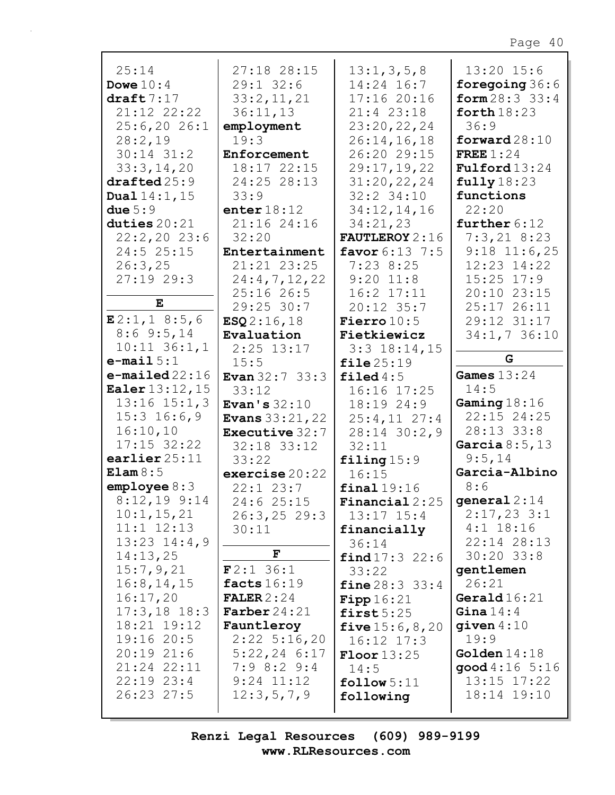| 25:14                  | 27:18 28:15               | 13:1,3,5,8                | $13:20$ 15:6             |
|------------------------|---------------------------|---------------------------|--------------------------|
| Dowe $10:4$            | $29:1$ 32:6               | 14:24 16:7                | foregoing $36:6$         |
| draff 7:17             | 33:2,11,21                | 17:1620:16                | form 28:3 33:4           |
| 21:12 22:22            | 36:11,13                  | $21:4$ 23:18              | forth $18:23$            |
| 25:6,2026:1            | employment                | 23:20,22,24               | 36:9                     |
| 28:2,19                | 19:3                      | 26:14,16,18               |                          |
|                        |                           |                           | forward $28:10$          |
| $30:14$ $31:2$         | Enforcement               | 26:20 29:15               | FREE $1:24$              |
| 33:3,14,20             | 18:17 22:15               | 29:17,19,22               | $\texttt{Fulford}$ 13:24 |
| draffed25:9            | 24:25 28:13               | 31:20,22,24               | fully18:23               |
| <b>Dual</b> $14:1, 15$ | 33:9                      | $32:2$ 34:10              | functions                |
| due $5:9$              | enter $18:12$             | 34:12,14,16               | 22:20                    |
| duties $20:21$         | 21:16 24:16               | 34:21,23                  | further $6:12$           |
| $22:2,20$ 23:6         | 32:20                     | <b>FAUTLEROY</b> 2:16     | $7:3,21$ 8:23            |
| 24:5 25:15             | Entertainment             | favor $6:13$ 7:5          | $9:18$ 11:6,25           |
|                        |                           |                           |                          |
| 26:3,25                | 21:21 23:25               | $7:23$ 8:25               | 12:23 14:22              |
| 27:1929:3              | 24:4,7,12,22              | $9:20$ 11:8               | $15:25$ $17:9$           |
|                        | $25:16$ 26:5              | $16:2$ $17:11$            | 20:10 23:15              |
| Е                      | $29:25$ 30:7              | 20:12 35:7                | 25:17 26:11              |
| E2:1, 18:5, 6          | ESQ2:16,18                | <b>Fierro</b> $10:5$      | 29:12 31:17              |
| $8:6$ 9:5, 14          | Evaluation                | Fietkiewicz               | $34:1,7$ 36:10           |
| $10:11$ $36:1,1$       | $2:25$ 13:17              | $3:3$ 18:14,15            |                          |
| $e$ -mail $5:1$        | 15:5                      | file25:19                 | G                        |
| $e$ -mailed 22:16      |                           |                           | Games $13:24$            |
|                        | <b>Evan</b> $32:7$ $33:3$ | filed $4:5$               |                          |
| <b>Ealer</b> 13:12, 15 | 33:12                     | 16:16 17:25               | 14:5                     |
| $13:16$ $15:1,3$       | Evan's $32:10$            | 18:19 24:9                | Gaming $18:16$           |
| $15:3$ $16:6,9$        | <b>Evans</b> $33:21,22$   | $25:4,11$ $27:4$          | 22:15 24:25              |
| 16:10,10               | <b>Executive 32:7</b>     | $28:14$ 30:2,9            | 28:13 33:8               |
| $17:15$ 32:22          | 32:18 33:12               | 32:11                     | Garcia $8:5,13$          |
| earlier $25:11$        | 33:22                     | $\texttt{filling}$ 15:9   | 9:5,14                   |
| Elam 8:5               | exercise 20:22            | 16:15                     | Garcia-Albino            |
| emplope 8:3            | $22:1$ $23:7$             | final19:16                | 8:6                      |
| $8:12,19$ 9:14         |                           |                           | general $2:14$           |
|                        | 24:6 25:15                | <b>Financial</b> $2:25$   |                          |
| 10:1, 15, 21           | $26:3, 25$ 29:3           | $13:17$ $15:4$            | $2:17,23$ 3:1            |
| $11:1$ $12:13$         | 30:11                     | financially               | $4:1$ 18:16              |
| $13:23$ $14:4,9$       |                           | 36:14                     | 22:14 28:13              |
| 14:13,25               | $\mathbf F$               | find 17:3 22:6            | $30:20$ 33:8             |
| 15:7,9,21              | F2:136:1                  | 33:22                     | gentlemen                |
| 16:8, 14, 15           | facts $16:19$             | <b>fine</b> $28:3$ 33:4   | 26:21                    |
| 16:17,20               | FALER $2:24$              | Fipp16:21                 | Gerald $16:21$           |
| $17:3,18$ 18:3         | <b>Farber</b> $24:21$     | first5:25                 | Gina $14:4$              |
| 18:21 19:12            | Fauntleroy                |                           | $q$ iven $4:10$          |
|                        |                           | <b>five</b> $15:6, 8, 20$ |                          |
| 19:1620:5              | $2:22$ 5:16,20            | $16:12$ $17:3$            | 19:9                     |
| $20:19$ $21:6$         | $5:22,24$ 6:17            | $\text{Floor}13:25$       | Golden $14:18$           |
| 21:24 22:11            | $7:9$ 8:2 9:4             | 14:5                      | good 4:16 5:16           |
| $22:19$ $23:4$         | $9:24$ $11:12$            | $\texttt{follow} 5:11$    | $13:15$ $17:22$          |
| 26:23 27:5             | 12:3,5,7,9                | following                 | 18:14 19:10              |
|                        |                           |                           |                          |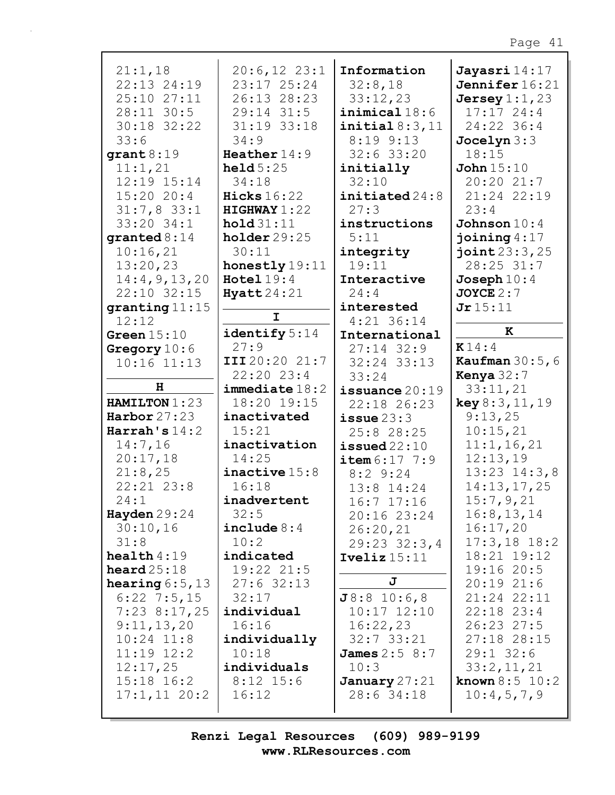| 21:1,18          | $20:6,12$ $23:1$   | Information              | Jayasri 14:17             |
|------------------|--------------------|--------------------------|---------------------------|
| 22:13 24:19      | 23:17 25:24        | 32:8,18                  | Jennifer 16:21            |
| 25:10 27:11      | 26:13 28:23        | 33:12,23                 | Jersey $1:1$ , 23         |
| 28:11 30:5       | $29:14$ 31:5       | $\texttt{inimical}$ 18:6 | 17:1724:4                 |
| 30:18 32:22      | 31:19 33:18        | initial 8:3,11           | 24:22 36:4                |
| 33:6             | 34:9               | $8:19$ $9:13$            | Jocelyn 3:3               |
| grant 8:19       | Heather $14:9$     | $32:6$ 33:20             | 18:15                     |
| 11:1,21          | held $5:25$        | initially                | John $15:10$              |
| 12:19 15:14      | 34:18              | 32:10                    | 20:20 21:7                |
| 15:2020:4        | Hicks $16:22$      | initiated 24:8           | 21:24 22:19               |
| $31:7,8$ 33:1    | HIGHWAY1:22        | 27:3                     | 23:4                      |
| 33:20 34:1       | hold 31:11         | instructions             | Johnson $10:4$            |
| granted $8:14$   | holder29:25        | 5:11                     | joining $4:17$            |
| 10:16,21         | 30:11              | integrity                | joint23:3,25              |
| 13:20,23         | honestly 19:11     | 19:11                    | 28:25 31:7                |
| 14:4,9,13,20     | $Hotel 19:4$       | Interactive              | Joseph $10:4$             |
| 22:10 32:15      | Hyatt24:21         | 24:4                     | $JOYCE$ $2:7$             |
| granting $11:15$ |                    | interested               | Jr15:11                   |
| 12:12            | $\mathbf I$        | $4:21$ 36:14             |                           |
| Green $15:10$    | identify $5:14$    | International            | K                         |
| Gregory $10:6$   | 27:9               | $27:14$ 32:9             | $\mathbf{K}$ 14:4         |
| $10:16$ $11:13$  | III 20:20 21:7     | 32:24 33:13              | <b>Kaufman</b> $30:5,6$   |
|                  | 22:20 23:4         | 33:24                    | Kenya $32:7$              |
| н                | $immediate$ $18:2$ | issuance $20:19$         | 33:11,21                  |
| HAMILTON 1:23    | 18:20 19:15        | 22:18 26:23              | key 8:3, 11, 19           |
| Harbor $27:23$   | inactivated        | $i$ ssue $23:3$          | 9:13,25                   |
| Harrah's $14:2$  | 15:21              | 25:8 28:25               | 10:15,21                  |
| 14:7,16          | inactivation       | $i$ ssued $22:10$        | 11:1, 16, 21              |
| 20:17,18         | 14:25              | item 6:17 7:9            | 12:13,19                  |
| 21:8,25          | inactive $15:8$    | $8:2$ 9:24               | $13:23$ $14:3,8$          |
| $22:21$ $23:8$   | 16:18              | 13:8 14:24               | 14:13,17,25               |
| 24:1             | inadvertent        | $16:7$ $17:16$           | 15:7,9,21                 |
| Hayden $29:24$   | 32:5               | 20:16 23:24              | 16:8, 13, 14              |
| 30:10,16         | include $8:4$      | 26:20,21                 | 16:17,20                  |
| 31:8             | 10:2               | $29:23$ $32:3,4$         | $17:3,18$ 18:2            |
| health $4:19$    | indicated          | Iveliz $15:11$           | 18:21 19:12               |
| heard $25:18$    | 19:22 21:5         |                          | 19:16 20:5                |
| hearing $6:5,13$ | $27:6$ 32:13       | J                        | $20:19$ $21:6$            |
| $6:22$ 7:5,15    | 32:17              | J8:8 10:6,8              | 21:24 22:11               |
| $7:23$ 8:17,25   | individual         | $10:17$ $12:10$          | $22:18$ $23:4$            |
| 9:11,13,20       | 16:16              | 16:22,23                 | 26:23 27:5                |
| $10:24$ $11:8$   | individually       | $32:7$ $33:21$           | 27:18 28:15               |
| $11:19$ $12:2$   | 10:18              | <b>James</b> 2:5 8:7     | $29:1$ 32:6               |
| 12:17,25         | individuals        | 10:3                     | 33:2,11,21                |
| $15:18$ $16:2$   | $8:12$ 15:6        | January 27:21            | <b>known</b> $8:5$ $10:2$ |
| $17:1,11$ 20:2   | 16:12              | 28:6 34:18               | 10:4,5,7,9                |
|                  |                    |                          |                           |
|                  |                    |                          |                           |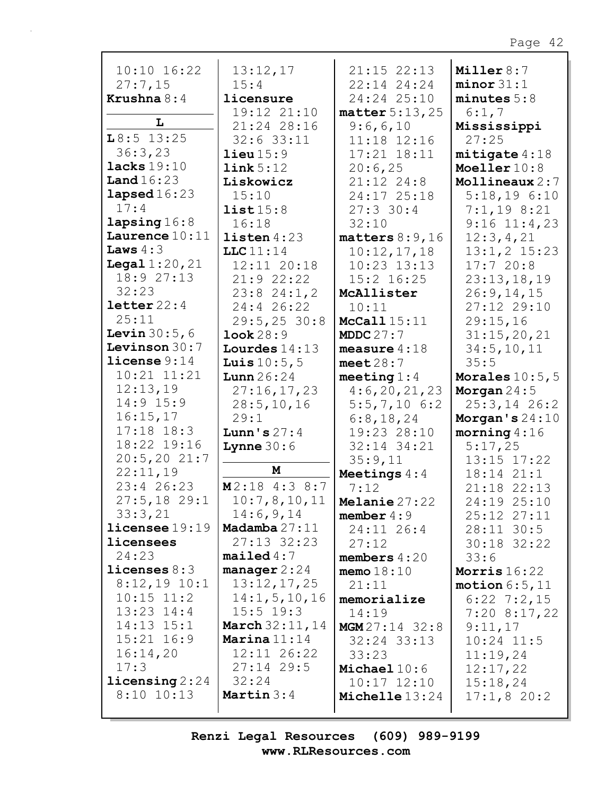| $10:10$ $16:22$          | 13:12,17                | $21:15$ $22:13$               | Miller $8:7$              |
|--------------------------|-------------------------|-------------------------------|---------------------------|
| 27:7,15                  | 15:4                    | 22:14 24:24                   | minor 31:1                |
| Krushna $8:4$            | licensure               | 24:24 25:10                   | minutes 5:8               |
|                          | 19:12 21:10             | matter $5:13,25$              | 6:1,7                     |
| L                        | 21:24 28:16             | 9:6,6,10                      | Mississippi               |
| $L8:5$ 13:25             | $32:6$ 33:11            | 11:18 12:16                   | 27:25                     |
| 36:3,23                  | $\text{lieu} 15:9$      | $17:21$ $18:11$               | mitigate 4:18             |
| lacks 19:10              | link 5:12               | 20:6,25                       | Moeller 10:8              |
| Land $16:23$             | Liskowicz               | $21:12$ $24:8$                | Mollineaux $2:7$          |
| lapsed $16:23$           | 15:10                   | 24:17 25:18                   | $5:18,19$ $6:10$          |
| 17:4                     | list15:8                | $27:3$ 30:4                   | 7:1,198:21                |
| lapsing16:8              | 16:18                   | 32:10                         | $9:16$ $11:4,23$          |
| Laurence $10:11$         | $listen 4:23$           | matters $8:9,16$              | 12:3,4,21                 |
| Laws $4:3$               | LLC11:14                | 10:12,17,18                   | $13:1,2$ $15:23$          |
| <b>Legal</b> $1:20,21$   | 12:11 20:18             | $10:23$ $13:13$               | 17:720:8                  |
| 18:927:13                | 21:9 22:22              | $15:2$ $16:25$                | 23:13,18,19               |
| 32:23                    | $23:8$ $24:1,2$         | McAllister                    | 26:9, 14, 15              |
| letter 22:4              | 24:4 26:22              | 10:11                         | 27:12 29:10               |
| 25:11                    | 29:5, 2530:8            | McCall 15:11                  | 29:15,16                  |
| <b>Levin</b> $30:5,6$    | Look 28:9               | MDDC $27:7$                   | 31:15,20,21               |
| Levinson 30:7            | Lourdes $14:13$         | measure $4:18$                | 34:5, 10, 11              |
| $l$ icense $9:14$        | <b>Luis</b> $10:5, 5$   | meet $28:7$                   | 35:5                      |
| $10:21$ $11:21$          | Lunn $26:24$            | meeting $1:4$                 | Morales $10:5, 5$         |
| 12:13,19                 | 27:16,17,23             | 4:6,20,21,23                  | Morgan $24:5$             |
| $14:9$ $15:9$            | 28:5, 10, 16            | $5:5,7,10$ 6:2                | $25:3, 14$ 26:2           |
| 16:15,17                 | 29:1                    | 6:8,18,24                     | Morgan's $24:10$          |
| $17:18$ $18:3$           | Lunn's $27:4$           | 19:23 28:10                   | morning $4:16$            |
| 18:22 19:16              | <b>Lynne</b> $30:6$     | 32:14 34:21                   | 5:17,25                   |
| 20:5, 2021:7             |                         |                               |                           |
|                          |                         |                               | 13:15 17:22               |
| 22:11,19                 | М                       | 35:9,11                       |                           |
| 23:4 26:23               | $M2:18$ 4:3 8:7         | Meetings $4:4$                | 18:14 21:1<br>21:18 22:13 |
| $27:5,18$ 29:1           | 10:7,8,10,11            | 7:12                          | 24:19 25:10               |
| 33:3,21                  | 14:6,9,14               | Melanie 27:22<br>member $4:9$ |                           |
| licensee 19:19           | Madamba 27:11           |                               | 25:12 27:11               |
| licensees                | 27:13 32:23             | 24:11 26:4                    | $28:11$ 30:5              |
| 24:23                    | mailed4:7               | 27:12                         | 30:18 32:22               |
| licenses $8:3$           | manager $2:24$          | members $4:20$                | 33:6                      |
| $8:12,19$ 10:1           | 13:12,17,25             | memo $18:10$                  | Morris $16:22$            |
| $10:15$ $11:2$           | 14:1, 5, 10, 16         | 21:11                         | motion $6:5,11$           |
| $13:23$ $14:4$           | $15:5$ 19:3             | memorialize                   | $6:22$ 7:2,15             |
| $14:13$ $15:1$           | <b>March</b> $32:11,14$ | 14:19                         | $7:20$ 8:17,22            |
| $15:21$ $16:9$           | Marina $11:14$          | MGM 27:14 32:8                | 9:11,17                   |
| 16:14,20                 | 12:11 26:22             | $32:24$ $33:13$<br>33:23      | $10:24$ 11:5<br>11:19,24  |
| 17:3                     | $27:14$ 29:5            | Michael $10:6$                |                           |
| $\text{licensing } 2:24$ | 32:24                   | $10:17$ $12:10$               | 12:17,22                  |
| $8:10$ 10:13             | Martin $3:4$            | Michelle 13:24                | 15:18,24<br>17:1,820:2    |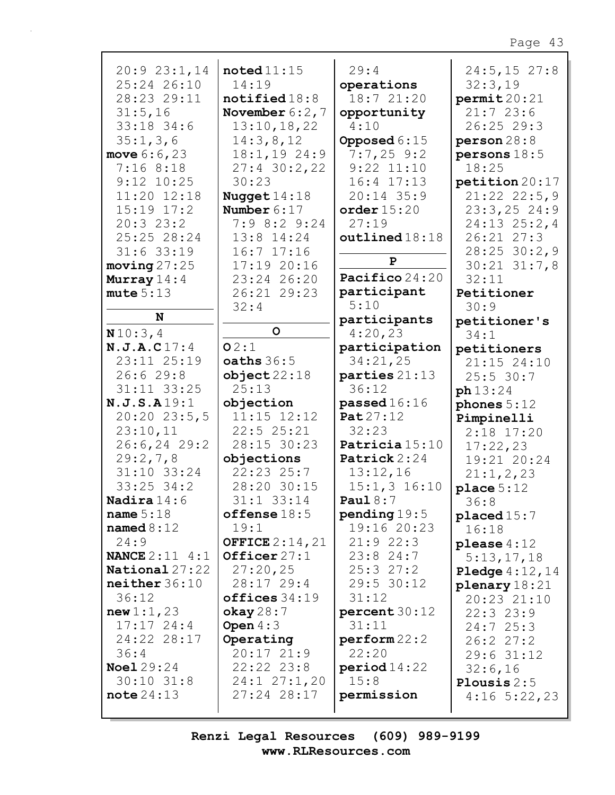| 20:923:1,14                | $\texttt{noted}11:15$   | 29:4                  | 24:5, 15 27:8        |
|----------------------------|-------------------------|-----------------------|----------------------|
| 25:24 26:10                | 14:19                   | operations            | 32:3,19              |
| 28:23 29:11                | $\texttt{notified18:8}$ | 18:7 21:20            | permit20:21          |
| 31:5,16                    | November $6:2$ , 7      | opportunity           | 21:723:6             |
| 33:18 34:6                 | 13:10, 18, 22           | 4:10                  | 26:25 29:3           |
| 35:1,3,6                   | 14:3,8,12               | Opposed $6:15$        | person28:8           |
| move $6:6,23$              | $18:1, 19$ 24:9         | $7:7,25$ 9:2          | persons $18:5$       |
| 7:168:18                   | $27:4$ 30:2,22          | $9:22$ $11:10$        | 18:25                |
| $9:12$ $10:25$             | 30:23                   | $16:4$ $17:13$        | petition 20:17       |
| 11:20 12:18                | Nugget $14:18$          | $20:14$ 35:9          | $21:22$ $22:5,9$     |
| $15:19$ $17:2$             | Number $6:17$           | order $15:20$         | $23:3,25$ 24:9       |
| 20:323:2                   | $7:9$ 8:2 9:24          | 27:19                 | $24:13$ $25:2,4$     |
| 25:25 28:24                | 13:8 14:24              | outlined18:18         | 26:21 27:3           |
| $31:6$ 33:19               | $16:7$ $17:16$          |                       | $28:25$ 30:2,9       |
|                            | 17:1920:16              | $\mathbf{P}$          | $30:21$ $31:7,8$     |
| moving 27:25               | 23:24 26:20             | Pacifico 24:20        | 32:11                |
| Murray $14:4$<br>mute 5:13 | 26:21 29:23             | participant           | Petitioner           |
|                            | 32:4                    | 5:10                  | 30:9                 |
| N                          |                         | participants          |                      |
| N10:3,4                    | $\mathsf{o}$            | 4:20,23               | petitioner's<br>34:1 |
| N.J.A.C17:4                | O2:1                    | participation         | petitioners          |
| 23:11 25:19                | oaths $36:5$            | 34:21,25              | 21:15 24:10          |
| 26:629:8                   | object22:18             | parties $21:13$       | $25:5$ 30:7          |
| 31:11 33:25                | 25:13                   | 36:12                 |                      |
| N.J.S.A19:1                | objection               | passed $16:16$        | ph 13:24             |
| 20:20 23:5,5               | $11:15$ $12:12$         | Pat $27:12$           | phones $5:12$        |
| 23:10,11                   | 22:525:21               | 32:23                 | Pimpinelli           |
| $26:6, 24$ 29:2            | 28:15 30:23             | Patricia 15:10        | $2:18$ 17:20         |
| 29:2,7,8                   | objections              | Patrick 2:24          | 17:22,23             |
| $31:10$ $33:24$            | $22:23$ $25:7$          | 13:12,16              | 19:21 20:24          |
| $33:25$ 34:2               | 28:20 30:15             | $15:1, 3$ 16:10       | 21:1,2,23            |
| <b>Nadira</b> $14:6$       | 31:1 33:14              | Paul $8:7$            | place $5:12$         |
| name $5:18$                | offense $18:5$          | pending $19:5$        | 36:8                 |
| named $8:12$               | 19:1                    | 19:16 20:23           | placed 15:7          |
| 24:9                       | <b>OFFICE</b> $2:14,21$ | 21:922:3              | 16:18                |
| <b>NANCE</b> $2:11 \ 4:1$  | Officer $27:1$          | $23:8$ 24:7           | please $4:12$        |
| National 27:22             | 27:20,25                | 25:327:2              | 5:13,17,18           |
| neither 36:10              | $28:17$ 29:4            | 29:5 30:12            | Pledge $4:12$ , $14$ |
| 36:12                      | offices 34:19           | 31:12                 | plenary $18:21$      |
|                            |                         |                       | 20:23 21:10          |
| new 1:1,23<br>$17:17$ 24:4 | okay28:7<br>Open $4:3$  | percent30:12<br>31:11 | 22:323:9             |
| 24:22 28:17                |                         |                       | 24:725:3             |
| 36:4                       | Operating<br>20:1721:9  | perform 22:2<br>22:20 | 26:227:2             |
| <b>Noel</b> 29:24          | 22:22 23:8              |                       | 29:631:12            |
| $30:10$ $31:8$             | 24:127:1,20             | period 14:22<br>15:8  | 32:6,16              |
| note 24:13                 | 27:24 28:17             |                       | Plousis $2:5$        |
|                            |                         | permission            | $4:16$ 5:22,23       |
|                            |                         |                       |                      |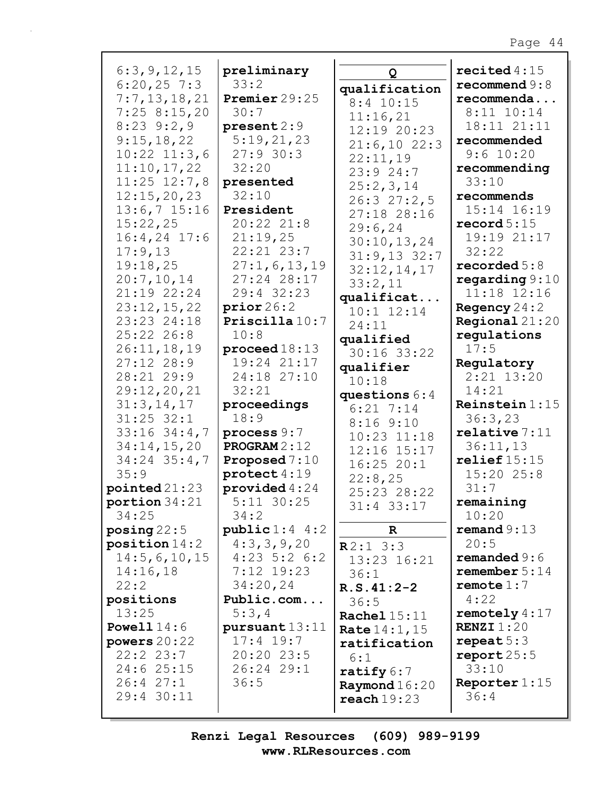| 6:3,9,12,15                   | preliminary              |                             | recited $4:15$            |
|-------------------------------|--------------------------|-----------------------------|---------------------------|
| $6:20,25$ 7:3                 | 33:2                     | Q                           | recommend $9:8$           |
| 7:7,13,18,21                  | Premier 29:25            | qualification               | recommenda                |
| 7:258:15,20                   | 30:7                     | $8:4$ 10:15                 | $8:11$ $10:14$            |
| $8:23$ $9:2,9$                | present 2:9              | 11:16,21<br>12:19 20:23     | 18:11 21:11               |
| 9:15,18,22                    | 5:19,21,23               | 21:6,1022:3                 | recommended               |
| $10:22$ $11:3,6$              | 27:930:3                 | 22:11,19                    | 9:6 10:20                 |
| 11:10,17,22                   | 32:20                    | 23:924:7                    | recommending              |
| $11:25$ $12:7,8$              | presented                | 25:2,3,14                   | 33:10                     |
| 12:15,20,23                   | 32:10                    | 26:327:2,5                  | recommends                |
| $13:6,7$ 15:16                | President                | 27:18 28:16                 | 15:14 16:19               |
| 15:22,25                      | 20:22 21:8               | 29:6, 24                    | record $5:15$             |
| $16:4,24$ 17:6                | 21:19,25                 | 30:10, 13, 24               | 19:19 21:17               |
| 17:9,13                       | 22:21 23:7               | $31:9,13$ 32:7              | 32:22                     |
| 19:18,25                      | 27:1, 6, 13, 19          | 32:12,14,17                 | recorded $5:8$            |
| 20:7,10,14                    | 27:24 28:17              | 33:2,11                     | regarding $9:10$          |
| 21:19 22:24                   | 29:4 32:23               | qualificat                  | 11:18 12:16               |
| 23:12,15,22                   | prior26:2                | $10:1$ $12:14$              | Regency $24:2$            |
| 23:23 24:18                   | Priscilla $10:7$         | 24:11                       | <b>Regional</b> $21:20$   |
| 25:22 26:8                    | 10:8                     | qualified                   | regulations               |
| 26:11, 18, 19                 | $\mathbf{proceed 18:}13$ | 30:16 33:22                 | 17:5                      |
| $27:12$ $28:9$                | 19:24 21:17              | qualifier                   | Regulatory                |
| 28:21 29:9                    | 24:18 27:10<br>32:21     | 10:18                       | $2:21$ $13:20$            |
| 29:12, 20, 21<br>31:3, 14, 17 | proceedings              | questions $6:4$             | 14:21<br>Reinstein $1:15$ |
| $31:25$ $32:1$                | 18:9                     | $6:21$ 7:14                 | 36:3,23                   |
| $33:16$ $34:4,7$              | process 9:7              | 8:169:10                    | relative 7:11             |
| 34:14,15,20                   | <b>PROGRAM</b> $2:12$    | $10:23$ $11:18$             | 36:11,13                  |
| $34:24$ $35:4,7$              | Proposed $7:10$          | 12:16 15:17                 | relief $15:15$            |
| 35:9                          | $\texttt{protech}4:19$   | $16:25$ $20:1$              | $15:20$ 25:8              |
| pointed21:23                  | provided $4:24$          | 22:8,25                     | 31:7                      |
| portion 34:21                 | $5:11$ 30:25             | 25:23 28:22<br>$31:4$ 33:17 | remaining                 |
| 34:25                         | 34:2                     |                             | 10:20                     |
| posing $22:5$                 | public 1:4 4:2           | $\mathbf R$                 | remand $9:13$             |
| position 14:2                 | 4:3,3,9,20               | R2:13:3                     | 20:5                      |
| 14:5,6,10,15                  | $4:23$ 5:2 6:2           | 13:23 16:21                 | remanded $9:6$            |
| 14:16,18                      | $7:12$ 19:23             | 36:1                        | remember $5:14$           |
| 22:2                          | 34:20,24                 | $R.S.41:2-2$                | remote $1:7$              |
| positions                     | Public.com               | 36:5                        | 4:22                      |
| 13:25                         | 5:3,4                    | <b>Rachel 15:11</b>         | remotely $4:17$           |
| <b>Powell</b> $14:6$          | pursuant13:11            | <b>Rate</b> $14:1, 15$      | <b>RENZI</b> $1:20$       |
| powers $20:22$                | $17:4$ 19:7              | ratification                | repeat $5:3$              |
| 22:22:3:7                     | 20:20 23:5               | 6:1                         | report $25:5$             |
| 24:6 25:15                    | 26:24 29:1               | ratify $6:7$                | 33:10                     |
| 26:427:1                      | 36:5                     | Raymond $16:20$             | Reporter $1:15$           |
| 29:4 30:11                    |                          | reach19:23                  | 36:4                      |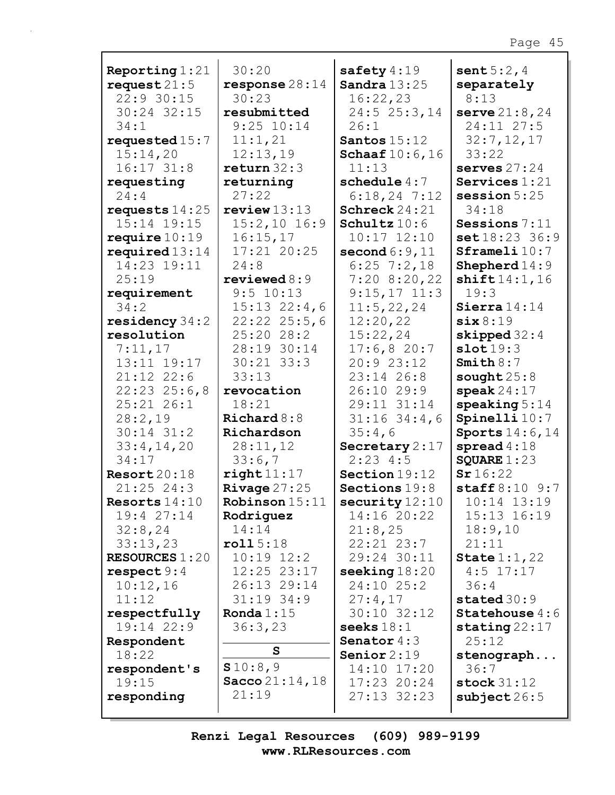| $22:9$ 30:15<br>30:23<br>16:22,23<br>8:13<br>30:24 32:15<br>resubmitted<br>24:5 25:3,14<br>serve $21:8, 24$<br>24:11 27:5<br>$9:25$ $10:14$<br>26:1<br>34:1<br>requested $15:7$<br>11:1,21<br>Santos $15:12$<br>32:7,12,17<br>15:14,20<br>12:13,19<br><b>Schaaf</b> $10:6, 16$<br>33:22<br>return 32:3<br>$16:17$ $31:8$<br>11:13<br>serves $27:24$<br>schedule $4:7$<br>Services $1:21$<br>returning<br>requesting<br>27:22<br>24:4<br>$6:18,24$ 7:12<br>session $5:25$<br>Schreck 24:21<br>requests $14:25$<br>review13:13<br>34:18<br>15:14 19:15<br>15:2,10 16:9<br>Sessions 7:11<br>Schultz $10:6$<br>16:15,17<br>set18:23 36:9<br>require $10:19$<br>$10:17$ $12:10$<br>17:21 20:25<br>required $13:14$<br>second $6:9,11$<br>Sframeli 10:7<br>14:23 19:11<br>$6:25$ 7:2,18<br>Shepherd $14:9$<br>24:8<br>25:19<br>reviewed $8:9$<br>$7:20$ 8:20,22<br>shift14:1,16<br>9:5 10:13<br>$9:15,17$ 11:3<br>19:3<br>requirement<br>34:2<br>$15:13$ $22:4,6$<br>Sierra $14:14$<br>11:5,22,24<br>residency $34:2$<br>$22:22$ $25:5,6$<br>12:20,22<br>six 8:19<br>25:20 28:2<br>15:22,24<br>resolution<br>skipped $32:4$<br>7:11,17<br>28:19 30:14<br>17:6,820:7<br>slot19:3<br>13:11 19:17<br>$30:21$ $33:3$<br>20:923:12<br>Smith $8:7$<br>$21:12$ $22:6$<br>23:14 26:8<br>33:13<br>sought $25:8$<br>$\texttt{speak}\,24:17$<br>$22:23$ $25:6,8$<br>26:10 29:9<br>revocation<br>$25:21$ $26:1$<br>18:21<br>29:11 31:14<br>speaking $5:14$<br>28:2,19<br>$31:16$ 34:4,6<br>Spinelli $10:7$<br>Richard $8:8$<br>$30:14$ $31:2$<br>35:4,6<br>Sports $14:6, 14$<br>Richardson<br>28:11,12<br>Secretary 2:17<br>spread $4:18$<br>33:4,14,20<br>2:234:5<br>34:17<br>33:6,7<br>SQUARE $1:23$<br>Sr16:22<br>Resort20:18<br>right 11:17<br>Section 19:12<br>Rivage $27:25$<br>$\texttt{staff 8:10 9:7}$<br>$21:25$ 24:3<br>Sections 19:8<br>Robinson15:11<br>10:14 13:19<br>security $12:10$<br>Resorts $14:10$<br>19:4 27:14<br>14:16 20:22<br>15:13 16:19<br>Rodriguez<br>14:14<br>32:8,24<br>21:8,25<br>18:9,10<br>roll5:18<br>$22:21$ $23:7$<br>21:11<br>33:13,23<br><b>RESOURCES 1:20</b><br>29:24 30:11<br>State $1:1,22$<br>$10:19$ $12:2$<br>seeking $18:20$<br>respect $9:4$<br>12:25 23:17<br>$4:5$ 17:17<br>10:12,16<br>26:13 29:14<br>24:10 25:2<br>36:4<br>11:12<br>$31:19$ 34:9<br>27:4,17<br>stated $30:9$<br>Ronda $1:15$<br>30:10 32:12<br>Statehouse $4:6$<br>respectfully<br>19:14 22:9<br>36:3,23<br>stating $22:17$<br>seeks $18:1$<br>25:12<br>Senator $4:3$<br>Respondent<br>S<br>18:22<br>Senior $2:19$<br>stenograph<br>\$10:8,9<br>14:10 17:20<br>36:7<br>respondent's<br>Sacco $21:14,18$<br>19:15<br>$17:23$ 20:24<br>stock $31:12$<br>21:19<br>responding<br>27:13 32:23<br>subject $26:5$ | Reporting $1:21$ | 30:20            | safety $4:19$  | sent $5:2, 4$ |
|---------------------------------------------------------------------------------------------------------------------------------------------------------------------------------------------------------------------------------------------------------------------------------------------------------------------------------------------------------------------------------------------------------------------------------------------------------------------------------------------------------------------------------------------------------------------------------------------------------------------------------------------------------------------------------------------------------------------------------------------------------------------------------------------------------------------------------------------------------------------------------------------------------------------------------------------------------------------------------------------------------------------------------------------------------------------------------------------------------------------------------------------------------------------------------------------------------------------------------------------------------------------------------------------------------------------------------------------------------------------------------------------------------------------------------------------------------------------------------------------------------------------------------------------------------------------------------------------------------------------------------------------------------------------------------------------------------------------------------------------------------------------------------------------------------------------------------------------------------------------------------------------------------------------------------------------------------------------------------------------------------------------------------------------------------------------------------------------------------------------------------------------------------------------------------------------------------------------------------------------------------------------------------------------------------------------------------------------------------------------------------------------------------------------------------------------------------------------------------------------------------------------------------------------------------------------------------------------------------------------------------------------------------------------------------------------------------------|------------------|------------------|----------------|---------------|
|                                                                                                                                                                                                                                                                                                                                                                                                                                                                                                                                                                                                                                                                                                                                                                                                                                                                                                                                                                                                                                                                                                                                                                                                                                                                                                                                                                                                                                                                                                                                                                                                                                                                                                                                                                                                                                                                                                                                                                                                                                                                                                                                                                                                                                                                                                                                                                                                                                                                                                                                                                                                                                                                                                               | request $21:5$   | response $28:14$ | Sandra $13:25$ | separately    |
|                                                                                                                                                                                                                                                                                                                                                                                                                                                                                                                                                                                                                                                                                                                                                                                                                                                                                                                                                                                                                                                                                                                                                                                                                                                                                                                                                                                                                                                                                                                                                                                                                                                                                                                                                                                                                                                                                                                                                                                                                                                                                                                                                                                                                                                                                                                                                                                                                                                                                                                                                                                                                                                                                                               |                  |                  |                |               |
|                                                                                                                                                                                                                                                                                                                                                                                                                                                                                                                                                                                                                                                                                                                                                                                                                                                                                                                                                                                                                                                                                                                                                                                                                                                                                                                                                                                                                                                                                                                                                                                                                                                                                                                                                                                                                                                                                                                                                                                                                                                                                                                                                                                                                                                                                                                                                                                                                                                                                                                                                                                                                                                                                                               |                  |                  |                |               |
|                                                                                                                                                                                                                                                                                                                                                                                                                                                                                                                                                                                                                                                                                                                                                                                                                                                                                                                                                                                                                                                                                                                                                                                                                                                                                                                                                                                                                                                                                                                                                                                                                                                                                                                                                                                                                                                                                                                                                                                                                                                                                                                                                                                                                                                                                                                                                                                                                                                                                                                                                                                                                                                                                                               |                  |                  |                |               |
|                                                                                                                                                                                                                                                                                                                                                                                                                                                                                                                                                                                                                                                                                                                                                                                                                                                                                                                                                                                                                                                                                                                                                                                                                                                                                                                                                                                                                                                                                                                                                                                                                                                                                                                                                                                                                                                                                                                                                                                                                                                                                                                                                                                                                                                                                                                                                                                                                                                                                                                                                                                                                                                                                                               |                  |                  |                |               |
|                                                                                                                                                                                                                                                                                                                                                                                                                                                                                                                                                                                                                                                                                                                                                                                                                                                                                                                                                                                                                                                                                                                                                                                                                                                                                                                                                                                                                                                                                                                                                                                                                                                                                                                                                                                                                                                                                                                                                                                                                                                                                                                                                                                                                                                                                                                                                                                                                                                                                                                                                                                                                                                                                                               |                  |                  |                |               |
|                                                                                                                                                                                                                                                                                                                                                                                                                                                                                                                                                                                                                                                                                                                                                                                                                                                                                                                                                                                                                                                                                                                                                                                                                                                                                                                                                                                                                                                                                                                                                                                                                                                                                                                                                                                                                                                                                                                                                                                                                                                                                                                                                                                                                                                                                                                                                                                                                                                                                                                                                                                                                                                                                                               |                  |                  |                |               |
|                                                                                                                                                                                                                                                                                                                                                                                                                                                                                                                                                                                                                                                                                                                                                                                                                                                                                                                                                                                                                                                                                                                                                                                                                                                                                                                                                                                                                                                                                                                                                                                                                                                                                                                                                                                                                                                                                                                                                                                                                                                                                                                                                                                                                                                                                                                                                                                                                                                                                                                                                                                                                                                                                                               |                  |                  |                |               |
|                                                                                                                                                                                                                                                                                                                                                                                                                                                                                                                                                                                                                                                                                                                                                                                                                                                                                                                                                                                                                                                                                                                                                                                                                                                                                                                                                                                                                                                                                                                                                                                                                                                                                                                                                                                                                                                                                                                                                                                                                                                                                                                                                                                                                                                                                                                                                                                                                                                                                                                                                                                                                                                                                                               |                  |                  |                |               |
|                                                                                                                                                                                                                                                                                                                                                                                                                                                                                                                                                                                                                                                                                                                                                                                                                                                                                                                                                                                                                                                                                                                                                                                                                                                                                                                                                                                                                                                                                                                                                                                                                                                                                                                                                                                                                                                                                                                                                                                                                                                                                                                                                                                                                                                                                                                                                                                                                                                                                                                                                                                                                                                                                                               |                  |                  |                |               |
|                                                                                                                                                                                                                                                                                                                                                                                                                                                                                                                                                                                                                                                                                                                                                                                                                                                                                                                                                                                                                                                                                                                                                                                                                                                                                                                                                                                                                                                                                                                                                                                                                                                                                                                                                                                                                                                                                                                                                                                                                                                                                                                                                                                                                                                                                                                                                                                                                                                                                                                                                                                                                                                                                                               |                  |                  |                |               |
|                                                                                                                                                                                                                                                                                                                                                                                                                                                                                                                                                                                                                                                                                                                                                                                                                                                                                                                                                                                                                                                                                                                                                                                                                                                                                                                                                                                                                                                                                                                                                                                                                                                                                                                                                                                                                                                                                                                                                                                                                                                                                                                                                                                                                                                                                                                                                                                                                                                                                                                                                                                                                                                                                                               |                  |                  |                |               |
|                                                                                                                                                                                                                                                                                                                                                                                                                                                                                                                                                                                                                                                                                                                                                                                                                                                                                                                                                                                                                                                                                                                                                                                                                                                                                                                                                                                                                                                                                                                                                                                                                                                                                                                                                                                                                                                                                                                                                                                                                                                                                                                                                                                                                                                                                                                                                                                                                                                                                                                                                                                                                                                                                                               |                  |                  |                |               |
|                                                                                                                                                                                                                                                                                                                                                                                                                                                                                                                                                                                                                                                                                                                                                                                                                                                                                                                                                                                                                                                                                                                                                                                                                                                                                                                                                                                                                                                                                                                                                                                                                                                                                                                                                                                                                                                                                                                                                                                                                                                                                                                                                                                                                                                                                                                                                                                                                                                                                                                                                                                                                                                                                                               |                  |                  |                |               |
|                                                                                                                                                                                                                                                                                                                                                                                                                                                                                                                                                                                                                                                                                                                                                                                                                                                                                                                                                                                                                                                                                                                                                                                                                                                                                                                                                                                                                                                                                                                                                                                                                                                                                                                                                                                                                                                                                                                                                                                                                                                                                                                                                                                                                                                                                                                                                                                                                                                                                                                                                                                                                                                                                                               |                  |                  |                |               |
|                                                                                                                                                                                                                                                                                                                                                                                                                                                                                                                                                                                                                                                                                                                                                                                                                                                                                                                                                                                                                                                                                                                                                                                                                                                                                                                                                                                                                                                                                                                                                                                                                                                                                                                                                                                                                                                                                                                                                                                                                                                                                                                                                                                                                                                                                                                                                                                                                                                                                                                                                                                                                                                                                                               |                  |                  |                |               |
|                                                                                                                                                                                                                                                                                                                                                                                                                                                                                                                                                                                                                                                                                                                                                                                                                                                                                                                                                                                                                                                                                                                                                                                                                                                                                                                                                                                                                                                                                                                                                                                                                                                                                                                                                                                                                                                                                                                                                                                                                                                                                                                                                                                                                                                                                                                                                                                                                                                                                                                                                                                                                                                                                                               |                  |                  |                |               |
|                                                                                                                                                                                                                                                                                                                                                                                                                                                                                                                                                                                                                                                                                                                                                                                                                                                                                                                                                                                                                                                                                                                                                                                                                                                                                                                                                                                                                                                                                                                                                                                                                                                                                                                                                                                                                                                                                                                                                                                                                                                                                                                                                                                                                                                                                                                                                                                                                                                                                                                                                                                                                                                                                                               |                  |                  |                |               |
|                                                                                                                                                                                                                                                                                                                                                                                                                                                                                                                                                                                                                                                                                                                                                                                                                                                                                                                                                                                                                                                                                                                                                                                                                                                                                                                                                                                                                                                                                                                                                                                                                                                                                                                                                                                                                                                                                                                                                                                                                                                                                                                                                                                                                                                                                                                                                                                                                                                                                                                                                                                                                                                                                                               |                  |                  |                |               |
|                                                                                                                                                                                                                                                                                                                                                                                                                                                                                                                                                                                                                                                                                                                                                                                                                                                                                                                                                                                                                                                                                                                                                                                                                                                                                                                                                                                                                                                                                                                                                                                                                                                                                                                                                                                                                                                                                                                                                                                                                                                                                                                                                                                                                                                                                                                                                                                                                                                                                                                                                                                                                                                                                                               |                  |                  |                |               |
|                                                                                                                                                                                                                                                                                                                                                                                                                                                                                                                                                                                                                                                                                                                                                                                                                                                                                                                                                                                                                                                                                                                                                                                                                                                                                                                                                                                                                                                                                                                                                                                                                                                                                                                                                                                                                                                                                                                                                                                                                                                                                                                                                                                                                                                                                                                                                                                                                                                                                                                                                                                                                                                                                                               |                  |                  |                |               |
|                                                                                                                                                                                                                                                                                                                                                                                                                                                                                                                                                                                                                                                                                                                                                                                                                                                                                                                                                                                                                                                                                                                                                                                                                                                                                                                                                                                                                                                                                                                                                                                                                                                                                                                                                                                                                                                                                                                                                                                                                                                                                                                                                                                                                                                                                                                                                                                                                                                                                                                                                                                                                                                                                                               |                  |                  |                |               |
|                                                                                                                                                                                                                                                                                                                                                                                                                                                                                                                                                                                                                                                                                                                                                                                                                                                                                                                                                                                                                                                                                                                                                                                                                                                                                                                                                                                                                                                                                                                                                                                                                                                                                                                                                                                                                                                                                                                                                                                                                                                                                                                                                                                                                                                                                                                                                                                                                                                                                                                                                                                                                                                                                                               |                  |                  |                |               |
|                                                                                                                                                                                                                                                                                                                                                                                                                                                                                                                                                                                                                                                                                                                                                                                                                                                                                                                                                                                                                                                                                                                                                                                                                                                                                                                                                                                                                                                                                                                                                                                                                                                                                                                                                                                                                                                                                                                                                                                                                                                                                                                                                                                                                                                                                                                                                                                                                                                                                                                                                                                                                                                                                                               |                  |                  |                |               |
|                                                                                                                                                                                                                                                                                                                                                                                                                                                                                                                                                                                                                                                                                                                                                                                                                                                                                                                                                                                                                                                                                                                                                                                                                                                                                                                                                                                                                                                                                                                                                                                                                                                                                                                                                                                                                                                                                                                                                                                                                                                                                                                                                                                                                                                                                                                                                                                                                                                                                                                                                                                                                                                                                                               |                  |                  |                |               |
|                                                                                                                                                                                                                                                                                                                                                                                                                                                                                                                                                                                                                                                                                                                                                                                                                                                                                                                                                                                                                                                                                                                                                                                                                                                                                                                                                                                                                                                                                                                                                                                                                                                                                                                                                                                                                                                                                                                                                                                                                                                                                                                                                                                                                                                                                                                                                                                                                                                                                                                                                                                                                                                                                                               |                  |                  |                |               |
|                                                                                                                                                                                                                                                                                                                                                                                                                                                                                                                                                                                                                                                                                                                                                                                                                                                                                                                                                                                                                                                                                                                                                                                                                                                                                                                                                                                                                                                                                                                                                                                                                                                                                                                                                                                                                                                                                                                                                                                                                                                                                                                                                                                                                                                                                                                                                                                                                                                                                                                                                                                                                                                                                                               |                  |                  |                |               |
|                                                                                                                                                                                                                                                                                                                                                                                                                                                                                                                                                                                                                                                                                                                                                                                                                                                                                                                                                                                                                                                                                                                                                                                                                                                                                                                                                                                                                                                                                                                                                                                                                                                                                                                                                                                                                                                                                                                                                                                                                                                                                                                                                                                                                                                                                                                                                                                                                                                                                                                                                                                                                                                                                                               |                  |                  |                |               |
|                                                                                                                                                                                                                                                                                                                                                                                                                                                                                                                                                                                                                                                                                                                                                                                                                                                                                                                                                                                                                                                                                                                                                                                                                                                                                                                                                                                                                                                                                                                                                                                                                                                                                                                                                                                                                                                                                                                                                                                                                                                                                                                                                                                                                                                                                                                                                                                                                                                                                                                                                                                                                                                                                                               |                  |                  |                |               |
|                                                                                                                                                                                                                                                                                                                                                                                                                                                                                                                                                                                                                                                                                                                                                                                                                                                                                                                                                                                                                                                                                                                                                                                                                                                                                                                                                                                                                                                                                                                                                                                                                                                                                                                                                                                                                                                                                                                                                                                                                                                                                                                                                                                                                                                                                                                                                                                                                                                                                                                                                                                                                                                                                                               |                  |                  |                |               |
|                                                                                                                                                                                                                                                                                                                                                                                                                                                                                                                                                                                                                                                                                                                                                                                                                                                                                                                                                                                                                                                                                                                                                                                                                                                                                                                                                                                                                                                                                                                                                                                                                                                                                                                                                                                                                                                                                                                                                                                                                                                                                                                                                                                                                                                                                                                                                                                                                                                                                                                                                                                                                                                                                                               |                  |                  |                |               |
|                                                                                                                                                                                                                                                                                                                                                                                                                                                                                                                                                                                                                                                                                                                                                                                                                                                                                                                                                                                                                                                                                                                                                                                                                                                                                                                                                                                                                                                                                                                                                                                                                                                                                                                                                                                                                                                                                                                                                                                                                                                                                                                                                                                                                                                                                                                                                                                                                                                                                                                                                                                                                                                                                                               |                  |                  |                |               |
|                                                                                                                                                                                                                                                                                                                                                                                                                                                                                                                                                                                                                                                                                                                                                                                                                                                                                                                                                                                                                                                                                                                                                                                                                                                                                                                                                                                                                                                                                                                                                                                                                                                                                                                                                                                                                                                                                                                                                                                                                                                                                                                                                                                                                                                                                                                                                                                                                                                                                                                                                                                                                                                                                                               |                  |                  |                |               |
|                                                                                                                                                                                                                                                                                                                                                                                                                                                                                                                                                                                                                                                                                                                                                                                                                                                                                                                                                                                                                                                                                                                                                                                                                                                                                                                                                                                                                                                                                                                                                                                                                                                                                                                                                                                                                                                                                                                                                                                                                                                                                                                                                                                                                                                                                                                                                                                                                                                                                                                                                                                                                                                                                                               |                  |                  |                |               |
|                                                                                                                                                                                                                                                                                                                                                                                                                                                                                                                                                                                                                                                                                                                                                                                                                                                                                                                                                                                                                                                                                                                                                                                                                                                                                                                                                                                                                                                                                                                                                                                                                                                                                                                                                                                                                                                                                                                                                                                                                                                                                                                                                                                                                                                                                                                                                                                                                                                                                                                                                                                                                                                                                                               |                  |                  |                |               |
|                                                                                                                                                                                                                                                                                                                                                                                                                                                                                                                                                                                                                                                                                                                                                                                                                                                                                                                                                                                                                                                                                                                                                                                                                                                                                                                                                                                                                                                                                                                                                                                                                                                                                                                                                                                                                                                                                                                                                                                                                                                                                                                                                                                                                                                                                                                                                                                                                                                                                                                                                                                                                                                                                                               |                  |                  |                |               |
|                                                                                                                                                                                                                                                                                                                                                                                                                                                                                                                                                                                                                                                                                                                                                                                                                                                                                                                                                                                                                                                                                                                                                                                                                                                                                                                                                                                                                                                                                                                                                                                                                                                                                                                                                                                                                                                                                                                                                                                                                                                                                                                                                                                                                                                                                                                                                                                                                                                                                                                                                                                                                                                                                                               |                  |                  |                |               |
|                                                                                                                                                                                                                                                                                                                                                                                                                                                                                                                                                                                                                                                                                                                                                                                                                                                                                                                                                                                                                                                                                                                                                                                                                                                                                                                                                                                                                                                                                                                                                                                                                                                                                                                                                                                                                                                                                                                                                                                                                                                                                                                                                                                                                                                                                                                                                                                                                                                                                                                                                                                                                                                                                                               |                  |                  |                |               |
|                                                                                                                                                                                                                                                                                                                                                                                                                                                                                                                                                                                                                                                                                                                                                                                                                                                                                                                                                                                                                                                                                                                                                                                                                                                                                                                                                                                                                                                                                                                                                                                                                                                                                                                                                                                                                                                                                                                                                                                                                                                                                                                                                                                                                                                                                                                                                                                                                                                                                                                                                                                                                                                                                                               |                  |                  |                |               |
|                                                                                                                                                                                                                                                                                                                                                                                                                                                                                                                                                                                                                                                                                                                                                                                                                                                                                                                                                                                                                                                                                                                                                                                                                                                                                                                                                                                                                                                                                                                                                                                                                                                                                                                                                                                                                                                                                                                                                                                                                                                                                                                                                                                                                                                                                                                                                                                                                                                                                                                                                                                                                                                                                                               |                  |                  |                |               |
|                                                                                                                                                                                                                                                                                                                                                                                                                                                                                                                                                                                                                                                                                                                                                                                                                                                                                                                                                                                                                                                                                                                                                                                                                                                                                                                                                                                                                                                                                                                                                                                                                                                                                                                                                                                                                                                                                                                                                                                                                                                                                                                                                                                                                                                                                                                                                                                                                                                                                                                                                                                                                                                                                                               |                  |                  |                |               |
|                                                                                                                                                                                                                                                                                                                                                                                                                                                                                                                                                                                                                                                                                                                                                                                                                                                                                                                                                                                                                                                                                                                                                                                                                                                                                                                                                                                                                                                                                                                                                                                                                                                                                                                                                                                                                                                                                                                                                                                                                                                                                                                                                                                                                                                                                                                                                                                                                                                                                                                                                                                                                                                                                                               |                  |                  |                |               |
|                                                                                                                                                                                                                                                                                                                                                                                                                                                                                                                                                                                                                                                                                                                                                                                                                                                                                                                                                                                                                                                                                                                                                                                                                                                                                                                                                                                                                                                                                                                                                                                                                                                                                                                                                                                                                                                                                                                                                                                                                                                                                                                                                                                                                                                                                                                                                                                                                                                                                                                                                                                                                                                                                                               |                  |                  |                |               |
|                                                                                                                                                                                                                                                                                                                                                                                                                                                                                                                                                                                                                                                                                                                                                                                                                                                                                                                                                                                                                                                                                                                                                                                                                                                                                                                                                                                                                                                                                                                                                                                                                                                                                                                                                                                                                                                                                                                                                                                                                                                                                                                                                                                                                                                                                                                                                                                                                                                                                                                                                                                                                                                                                                               |                  |                  |                |               |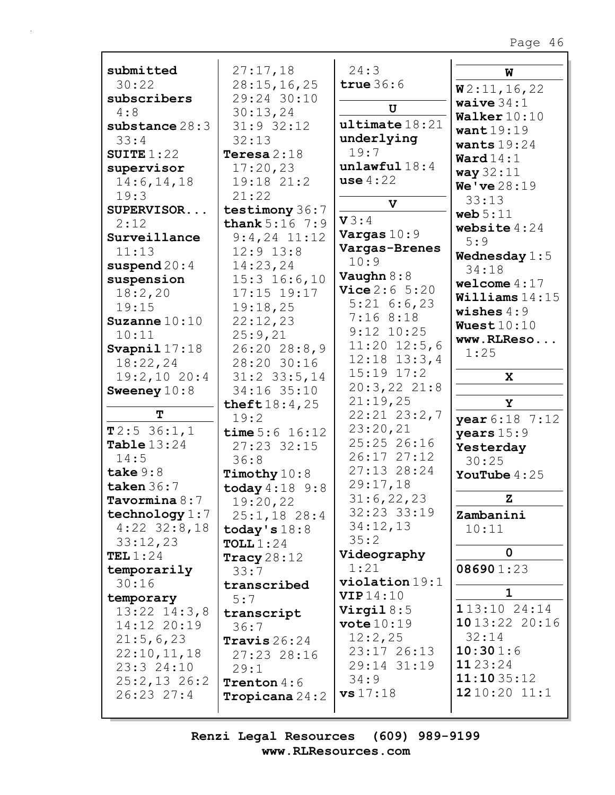| submitted        | 27:17,18                       | 24:3                   | W                         |
|------------------|--------------------------------|------------------------|---------------------------|
| 30:22            | 28:15, 16, 25                  | true $36:6$            | W2:11,16,22               |
| subscribers      | 29:24 30:10                    |                        | waive $34:1$              |
| 4:8              | 30:13,24                       | U                      | Walker $10:10$            |
| substance 28:3   | $31:9$ 32:12                   | ultime18:21            |                           |
| 33:4             | 32:13                          | underlying             | want19:19                 |
| SUITE $1:22$     | Teresa $2:18$                  | 19:7                   | wants $19:24$             |
| supervisor       | 17:20,23                       | unlawful18:4           | $\texttt{Ward14:1}$       |
| 14:6, 14, 18     | 19:18 21:2                     | use $4:22$             | way 32:11                 |
| 19:3             | 21:22                          |                        | We've 28:19               |
|                  |                                | $\mathbf v$            | 33:13                     |
| SUPERVISOR       | testimony 36:7                 | V3:4                   | web $5:11$                |
| 2:12             | <b>thank</b> $5:16$ $7:9$      | Vargas $10:9$          | website $4:24$            |
| Surveillance     | $9:4,24$ 11:12                 |                        | 5:9                       |
| 11:13            | $12:9$ $13:8$                  | Vargas-Brenes<br>10:9  | Wednesday $1:5$           |
| suspend $20:4$   | 14:23,24                       |                        | 34:18                     |
| suspension       | $15:3$ $16:6,10$               | Vaughn $8:8$           | welcome $4:17$            |
| 18:2,20          | 17:15 19:17                    | <b>Vice</b> $2:6$ 5:20 | $\texttt{Williams} 14:15$ |
| 19:15            | 19:18,25                       | $5:21$ 6:6,23          | wishes $4:9$              |
| Suzanne $10:10$  | 22:12,23                       | 7:168:18               | Wuest $10:10$             |
| 10:11            | 25:9,21                        | $9:12$ $10:25$         | www.RLReso                |
| Svapnil $17:18$  | $26:20$ $28:8,9$               | $11:20$ $12:5,6$       | 1:25                      |
| 18:22,24         | 28:20 30:16                    | $12:18$ $13:3,4$       |                           |
| 19:2,10 20:4     | $31:2$ $33:5$ , 14             | $15:19$ $17:2$         | $\mathbf{x}$              |
| Sweeney $10:8$   | 34:16 35:10                    | 20:3,2221:8            |                           |
|                  | theft $18:4,25$                | 21:19,25               | Y                         |
| т                | 19:2                           | $22:21$ $23:2,7$       | year 6:18 7:12            |
| T2:536:1,1       | time $5:6$ 16:12               | 23:20,21               | years $15:9$              |
| Table $13:24$    | 27:23 32:15                    | 25:25 26:16            | Yesterday                 |
| 14:5             | 36:8                           | 26:17 27:12            | 30:25                     |
| take $9:8$       | Timothy $10:8$                 | 27:13 28:24            | YouTube $4:25$            |
| taken $36:7$     | $\text{today } 4:18 \quad 9:8$ | 29:17,18               |                           |
| Tavormina $8:7$  | 19:20,22                       | 31:6,22,23             | z                         |
| technology $1:7$ | $25:1,18$ 28:4                 | 32:23 33:19            | Zambanini                 |
| $4:22$ 32:8,18   | today's $18:8$                 | 34:12,13               | 10:11                     |
| 33:12,23         | TOLL $1:24$                    | 35:2                   |                           |
| TEL $1:24$       | Tracy $28:12$                  | Videography            | 0                         |
| temporarily      | 33:7                           | 1:21                   | 086901:23                 |
| 30:16            | transcribed                    | $violation 19:1$       |                           |
| temporary        | 5:7                            | VIP14:10               | 1                         |
| $13:22$ $14:3,8$ |                                | Virgil $8:5$           | 113:1024:14               |
| 14:12 20:19      | transcript                     | vote $10:19$           | 10 13:22 20:16            |
| 21:5,6,23        | 36:7                           | 12:2,25                | 32:14                     |
|                  | Travis $26:24$                 | 23:17 26:13            | 10:301:6                  |
| 22:10,11,18      | 27:23 28:16                    | 29:14 31:19            | 1123:24                   |
| 23:3 24:10       | 29:1                           | 34:9                   | 11:1035:12                |
| $25:2,13$ 26:2   | <b>Trenton</b> $4:6$           | vs 17:18               | 1210:2011:1               |
| $26:23$ $27:4$   | <b>Tropicana</b> $24:2$        |                        |                           |
|                  |                                |                        |                           |